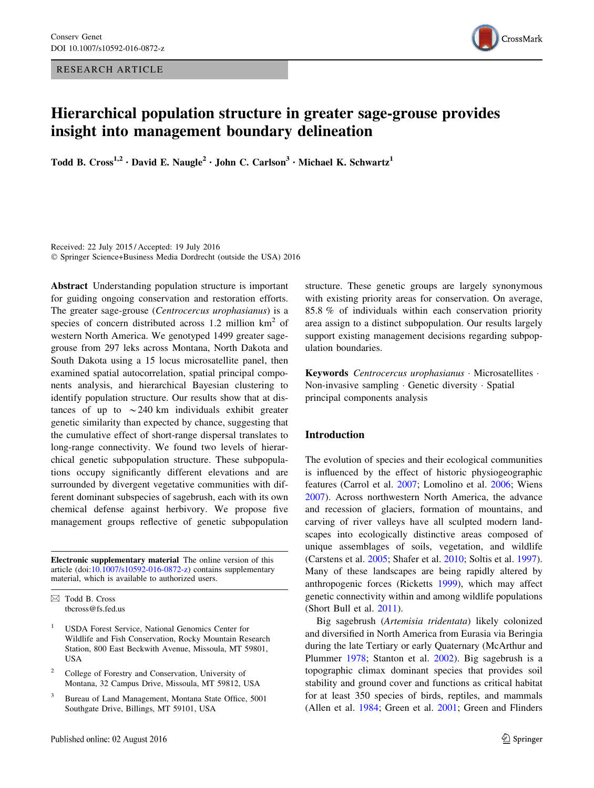RESEARCH ARTICLE



# Hierarchical population structure in greater sage-grouse provides insight into management boundary delineation

Todd B.  $Cross^{1,2} \cdot David E$ . Naugle<sup>2</sup> · John C. Carlson<sup>3</sup> · Michael K. Schwartz<sup>1</sup>

Received: 22 July 2015 / Accepted: 19 July 2016 - Springer Science+Business Media Dordrecht (outside the USA) 2016

Abstract Understanding population structure is important for guiding ongoing conservation and restoration efforts. The greater sage-grouse (Centrocercus urophasianus) is a species of concern distributed across 1.2 million  $km<sup>2</sup>$  of western North America. We genotyped 1499 greater sagegrouse from 297 leks across Montana, North Dakota and South Dakota using a 15 locus microsatellite panel, then examined spatial autocorrelation, spatial principal components analysis, and hierarchical Bayesian clustering to identify population structure. Our results show that at distances of up to  $\sim$  240 km individuals exhibit greater genetic similarity than expected by chance, suggesting that the cumulative effect of short-range dispersal translates to long-range connectivity. We found two levels of hierarchical genetic subpopulation structure. These subpopulations occupy significantly different elevations and are surrounded by divergent vegetative communities with different dominant subspecies of sagebrush, each with its own chemical defense against herbivory. We propose five management groups reflective of genetic subpopulation

Electronic supplementary material The online version of this article (doi:[10.1007/s10592-016-0872-z](http://dx.doi.org/10.1007/s10592-016-0872-z)) contains supplementary material, which is available to authorized users.

& Todd B. Cross tbcross@fs.fed.us

- <sup>1</sup> USDA Forest Service, National Genomics Center for Wildlife and Fish Conservation, Rocky Mountain Research Station, 800 East Beckwith Avenue, Missoula, MT 59801, USA
- <sup>2</sup> College of Forestry and Conservation, University of Montana, 32 Campus Drive, Missoula, MT 59812, USA
- <sup>3</sup> Bureau of Land Management, Montana State Office, 5001 Southgate Drive, Billings, MT 59101, USA

structure. These genetic groups are largely synonymous with existing priority areas for conservation. On average, 85.8 % of individuals within each conservation priority area assign to a distinct subpopulation. Our results largely support existing management decisions regarding subpopulation boundaries.

Keywords Centrocercus urophasianus · Microsatellites · Non-invasive sampling - Genetic diversity - Spatial principal components analysis

# Introduction

The evolution of species and their ecological communities is influenced by the effect of historic physiogeographic features (Carrol et al. [2007](#page-13-0); Lomolino et al. [2006](#page-14-0); Wiens [2007](#page-16-0)). Across northwestern North America, the advance and recession of glaciers, formation of mountains, and carving of river valleys have all sculpted modern landscapes into ecologically distinctive areas composed of unique assemblages of soils, vegetation, and wildlife (Carstens et al. [2005;](#page-13-0) Shafer et al. [2010](#page-15-0); Soltis et al. [1997](#page-15-0)). Many of these landscapes are being rapidly altered by anthropogenic forces (Ricketts [1999\)](#page-15-0), which may affect genetic connectivity within and among wildlife populations (Short Bull et al. [2011\)](#page-15-0).

Big sagebrush (Artemisia tridentata) likely colonized and diversified in North America from Eurasia via Beringia during the late Tertiary or early Quaternary (McArthur and Plummer [1978](#page-14-0); Stanton et al. [2002](#page-15-0)). Big sagebrush is a topographic climax dominant species that provides soil stability and ground cover and functions as critical habitat for at least 350 species of birds, reptiles, and mammals (Allen et al. [1984;](#page-13-0) Green et al. [2001;](#page-14-0) Green and Flinders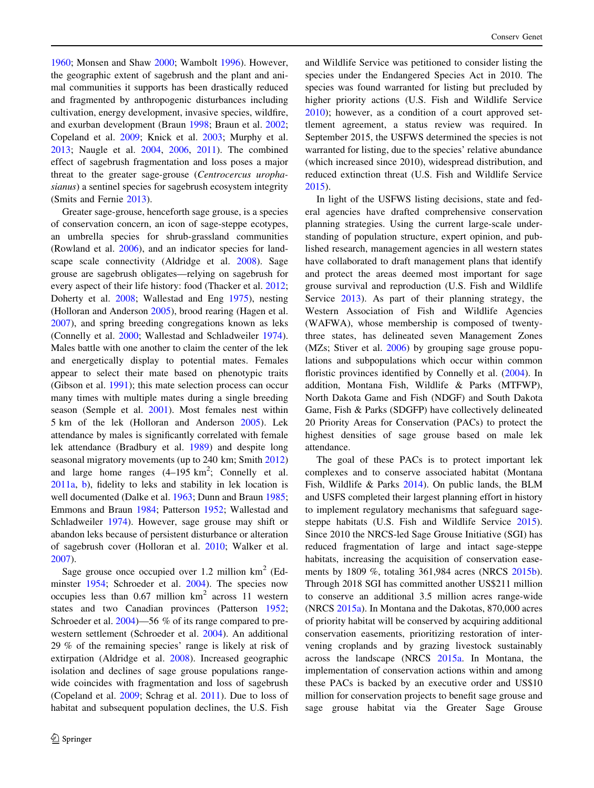[1960;](#page-14-0) Monsen and Shaw [2000;](#page-14-0) Wambolt [1996](#page-16-0)). However, the geographic extent of sagebrush and the plant and animal communities it supports has been drastically reduced and fragmented by anthropogenic disturbances including cultivation, energy development, invasive species, wildfire, and exurban development (Braun [1998;](#page-13-0) Braun et al. [2002](#page-13-0); Copeland et al. [2009](#page-13-0); Knick et al. [2003](#page-14-0); Murphy et al. [2013;](#page-14-0) Naugle et al. [2004,](#page-15-0) [2006](#page-15-0), [2011](#page-15-0)). The combined effect of sagebrush fragmentation and loss poses a major threat to the greater sage-grouse (Centrocercus urophasianus) a sentinel species for sagebrush ecosystem integrity (Smits and Fernie [2013](#page-15-0)).

Greater sage-grouse, henceforth sage grouse, is a species of conservation concern, an icon of sage-steppe ecotypes, an umbrella species for shrub-grassland communities (Rowland et al. [2006](#page-15-0)), and an indicator species for landscape scale connectivity (Aldridge et al. [2008](#page-13-0)). Sage grouse are sagebrush obligates—relying on sagebrush for every aspect of their life history: food (Thacker et al. [2012](#page-15-0); Doherty et al. [2008;](#page-14-0) Wallestad and Eng [1975](#page-16-0)), nesting (Holloran and Anderson [2005](#page-14-0)), brood rearing (Hagen et al. [2007\)](#page-14-0), and spring breeding congregations known as leks (Connelly et al. [2000](#page-13-0); Wallestad and Schladweiler [1974](#page-16-0)). Males battle with one another to claim the center of the lek and energetically display to potential mates. Females appear to select their mate based on phenotypic traits (Gibson et al. [1991](#page-14-0)); this mate selection process can occur many times with multiple mates during a single breeding season (Semple et al. [2001](#page-15-0)). Most females nest within 5 km of the lek (Holloran and Anderson [2005](#page-14-0)). Lek attendance by males is significantly correlated with female lek attendance (Bradbury et al. [1989\)](#page-13-0) and despite long seasonal migratory movements (up to 240 km; Smith [2012\)](#page-15-0) and large home ranges  $(4-195 \text{ km}^2)$ ; Connelly et al. [2011a](#page-13-0), [b](#page-13-0)), fidelity to leks and stability in lek location is well documented (Dalke et al. [1963](#page-14-0); Dunn and Braun [1985](#page-14-0); Emmons and Braun [1984;](#page-14-0) Patterson [1952](#page-15-0); Wallestad and Schladweiler [1974](#page-16-0)). However, sage grouse may shift or abandon leks because of persistent disturbance or alteration of sagebrush cover (Holloran et al. [2010;](#page-14-0) Walker et al. [2007\)](#page-16-0).

Sage grouse once occupied over 1.2 million  $km^2$  (Edminster [1954](#page-14-0); Schroeder et al. [2004\)](#page-15-0). The species now occupies less than  $0.67$  million  $km^2$  across 11 western states and two Canadian provinces (Patterson [1952](#page-15-0); Schroeder et al. [2004](#page-15-0))—56 % of its range compared to prewestern settlement (Schroeder et al. [2004](#page-15-0)). An additional 29 % of the remaining species' range is likely at risk of extirpation (Aldridge et al. [2008](#page-13-0)). Increased geographic isolation and declines of sage grouse populations rangewide coincides with fragmentation and loss of sagebrush (Copeland et al. [2009](#page-13-0); Schrag et al. [2011](#page-15-0)). Due to loss of habitat and subsequent population declines, the U.S. Fish

and Wildlife Service was petitioned to consider listing the species under the Endangered Species Act in 2010. The species was found warranted for listing but precluded by higher priority actions (U.S. Fish and Wildlife Service [2010](#page-15-0)); however, as a condition of a court approved settlement agreement, a status review was required. In September 2015, the USFWS determined the species is not warranted for listing, due to the species' relative abundance (which increased since 2010), widespread distribution, and reduced extinction threat (U.S. Fish and Wildlife Service [2015](#page-16-0)).

In light of the USFWS listing decisions, state and federal agencies have drafted comprehensive conservation planning strategies. Using the current large-scale understanding of population structure, expert opinion, and published research, management agencies in all western states have collaborated to draft management plans that identify and protect the areas deemed most important for sage grouse survival and reproduction (U.S. Fish and Wildlife Service [2013](#page-16-0)). As part of their planning strategy, the Western Association of Fish and Wildlife Agencies (WAFWA), whose membership is composed of twentythree states, has delineated seven Management Zones (MZs; Stiver et al. [2006\)](#page-15-0) by grouping sage grouse populations and subpopulations which occur within common floristic provinces identified by Connelly et al. [\(2004](#page-13-0)). In addition, Montana Fish, Wildlife & Parks (MTFWP), North Dakota Game and Fish (NDGF) and South Dakota Game, Fish & Parks (SDGFP) have collectively delineated 20 Priority Areas for Conservation (PACs) to protect the highest densities of sage grouse based on male lek attendance.

The goal of these PACs is to protect important lek complexes and to conserve associated habitat (Montana Fish, Wildlife & Parks [2014\)](#page-14-0). On public lands, the BLM and USFS completed their largest planning effort in history to implement regulatory mechanisms that safeguard sagesteppe habitats (U.S. Fish and Wildlife Service [2015](#page-16-0)). Since 2010 the NRCS-led Sage Grouse Initiative (SGI) has reduced fragmentation of large and intact sage-steppe habitats, increasing the acquisition of conservation easements by 1809 %, totaling 361,984 acres (NRCS [2015b](#page-15-0)). Through 2018 SGI has committed another US\$211 million to conserve an additional 3.5 million acres range-wide (NRCS [2015a](#page-15-0)). In Montana and the Dakotas, 870,000 acres of priority habitat will be conserved by acquiring additional conservation easements, prioritizing restoration of intervening croplands and by grazing livestock sustainably across the landscape (NRCS [2015a](#page-15-0). In Montana, the implementation of conservation actions within and among these PACs is backed by an executive order and US\$10 million for conservation projects to benefit sage grouse and sage grouse habitat via the Greater Sage Grouse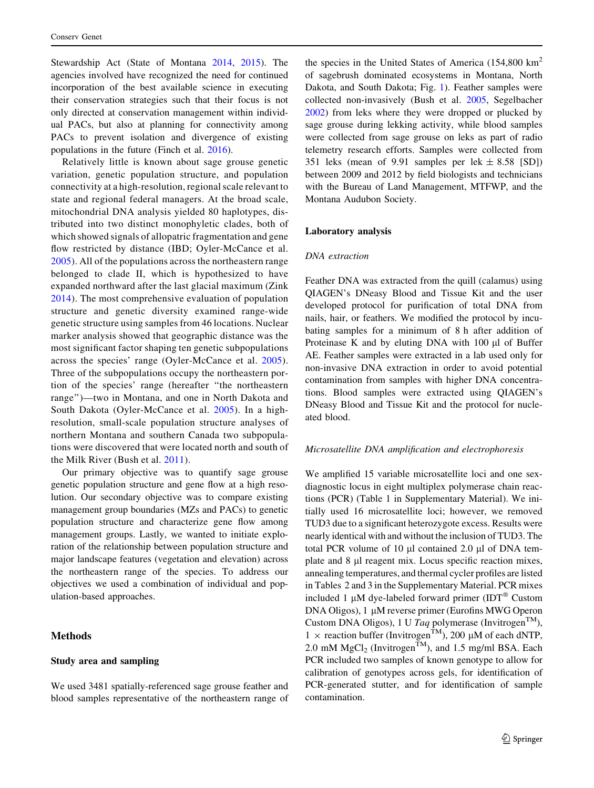Stewardship Act (State of Montana [2014,](#page-15-0) [2015\)](#page-15-0). The agencies involved have recognized the need for continued incorporation of the best available science in executing their conservation strategies such that their focus is not only directed at conservation management within individual PACs, but also at planning for connectivity among PACs to prevent isolation and divergence of existing populations in the future (Finch et al. [2016](#page-14-0)).

Relatively little is known about sage grouse genetic variation, genetic population structure, and population connectivity at a high-resolution, regional scale relevant to state and regional federal managers. At the broad scale, mitochondrial DNA analysis yielded 80 haplotypes, distributed into two distinct monophyletic clades, both of which showed signals of allopatric fragmentation and gene flow restricted by distance (IBD; Oyler-McCance et al. [2005\)](#page-15-0). All of the populations across the northeastern range belonged to clade II, which is hypothesized to have expanded northward after the last glacial maximum (Zink [2014\)](#page-16-0). The most comprehensive evaluation of population structure and genetic diversity examined range-wide genetic structure using samples from 46 locations. Nuclear marker analysis showed that geographic distance was the most significant factor shaping ten genetic subpopulations across the species' range (Oyler-McCance et al. [2005](#page-15-0)). Three of the subpopulations occupy the northeastern portion of the species' range (hereafter ''the northeastern range'')—two in Montana, and one in North Dakota and South Dakota (Oyler-McCance et al. [2005](#page-15-0)). In a highresolution, small-scale population structure analyses of northern Montana and southern Canada two subpopulations were discovered that were located north and south of the Milk River (Bush et al. [2011](#page-13-0)).

Our primary objective was to quantify sage grouse genetic population structure and gene flow at a high resolution. Our secondary objective was to compare existing management group boundaries (MZs and PACs) to genetic population structure and characterize gene flow among management groups. Lastly, we wanted to initiate exploration of the relationship between population structure and major landscape features (vegetation and elevation) across the northeastern range of the species. To address our objectives we used a combination of individual and population-based approaches.

# **Methods**

## Study area and sampling

We used 3481 spatially-referenced sage grouse feather and blood samples representative of the northeastern range of the species in the United States of America  $(154.800 \text{ km}^2)$ of sagebrush dominated ecosystems in Montana, North Dakota, and South Dakota; Fig. [1\)](#page-3-0). Feather samples were collected non-invasively (Bush et al. [2005,](#page-13-0) Segelbacher [2002](#page-15-0)) from leks where they were dropped or plucked by sage grouse during lekking activity, while blood samples were collected from sage grouse on leks as part of radio telemetry research efforts. Samples were collected from 351 leks (mean of 9.91 samples per lek  $\pm$  8.58 [SD]) between 2009 and 2012 by field biologists and technicians with the Bureau of Land Management, MTFWP, and the Montana Audubon Society.

#### Laboratory analysis

#### DNA extraction

Feather DNA was extracted from the quill (calamus) using QIAGEN's DNeasy Blood and Tissue Kit and the user developed protocol for purification of total DNA from nails, hair, or feathers. We modified the protocol by incubating samples for a minimum of 8 h after addition of Proteinase K and by eluting DNA with  $100 \mu l$  of Buffer AE. Feather samples were extracted in a lab used only for non-invasive DNA extraction in order to avoid potential contamination from samples with higher DNA concentrations. Blood samples were extracted using QIAGEN's DNeasy Blood and Tissue Kit and the protocol for nucleated blood.

## Microsatellite DNA amplification and electrophoresis

We amplified 15 variable microsatellite loci and one sexdiagnostic locus in eight multiplex polymerase chain reactions (PCR) (Table 1 in Supplementary Material). We initially used 16 microsatellite loci; however, we removed TUD3 due to a significant heterozygote excess. Results were nearly identical with and without the inclusion of TUD3. The total PCR volume of 10  $\mu$ l contained 2.0  $\mu$ l of DNA template and 8  $\mu$ l reagent mix. Locus specific reaction mixes, annealing temperatures, and thermal cycler profiles are listed in Tables 2 and 3 in the Supplementary Material. PCR mixes included 1  $\mu$ M dye-labeled forward primer (IDT<sup>®</sup> Custom DNA Oligos), 1 μM reverse primer (Eurofins MWG Operon Custom DNA Oligos), 1 U Taq polymerase (Invitrogen<sup>TM</sup>),  $1 \times$  reaction buffer (Invitrogen<sup>TM</sup>), 200 µM of each dNTP, 2.0 mM MgCl<sub>2</sub> (Invitrogen<sup>TM</sup>), and 1.5 mg/ml BSA. Each PCR included two samples of known genotype to allow for calibration of genotypes across gels, for identification of PCR-generated stutter, and for identification of sample contamination.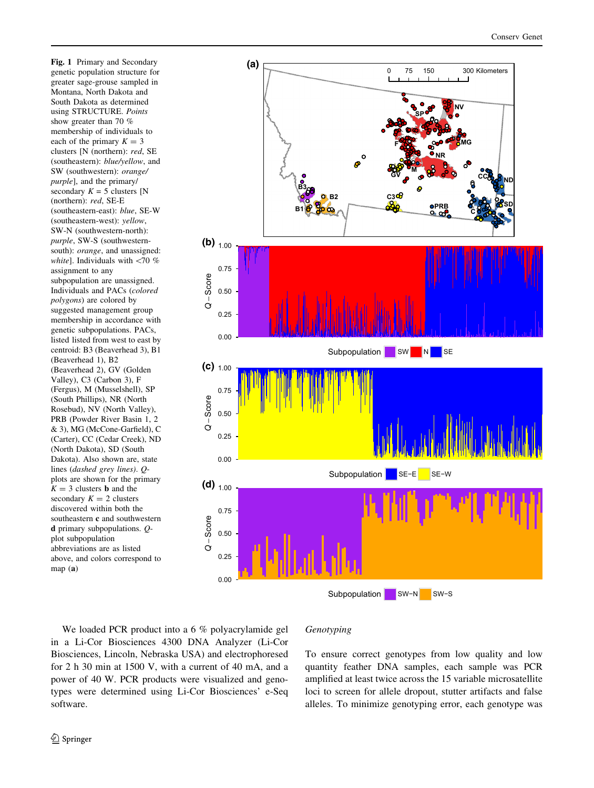<span id="page-3-0"></span>Fig. 1 Primary and Secondary **(a)** genetic population structure for greater sage-grouse sampled in Montana, North Dakota and South Dakota as determined using STRUCTURE. Points show greater than 70 % membership of individuals to each of the primary  $K = 3$ clusters [N (northern): red, SE (southeastern): blue/yellow, and SW (southwestern): orange/ purple], and the primary/ secondary  $K = 5$  clusters [N (northern): red, SE-E (southeastern-east): blue, SE-W (southeastern-west): yellow, SW-N (southwestern-north): purple, SW-S (southwesternsouth): *orange*, and unassigned: white]. Individuals with  $\langle 70 \text{ \%}$ assignment to any subpopulation are unassigned. Individuals and PACs (colored polygons) are colored by suggested management group membership in accordance with genetic subpopulations. PACs, listed listed from west to east by centroid: B3 (Beaverhead 3), B1 (Beaverhead 1), B2 (Beaverhead 2), GV (Golden Valley), C3 (Carbon 3), F (Fergus), M (Musselshell), SP (South Phillips), NR (North Rosebud), NV (North Valley), PRB (Powder River Basin 1, 2 & 3), MG (McCone-Garfield), C (Carter), CC (Cedar Creek), ND (North Dakota), SD (South Dakota). Also shown are, state lines (dashed grey lines). Qplots are shown for the primary  $K = 3$  clusters **b** and the secondary  $K = 2$  clusters discovered within both the southeastern c and southwestern d primary subpopulations. Qplot subpopulation abbreviations are as listed above, and colors correspond to map (a)



Subpopulation SW−N SW−S

We loaded PCR product into a 6 % polyacrylamide gel in a Li-Cor Biosciences 4300 DNA Analyzer (Li-Cor Biosciences, Lincoln, Nebraska USA) and electrophoresed for 2 h 30 min at 1500 V, with a current of 40 mA, and a power of 40 W. PCR products were visualized and genotypes were determined using Li-Cor Biosciences' e-Seq software.

# Genotyping

To ensure correct genotypes from low quality and low quantity feather DNA samples, each sample was PCR amplified at least twice across the 15 variable microsatellite loci to screen for allele dropout, stutter artifacts and false alleles. To minimize genotyping error, each genotype was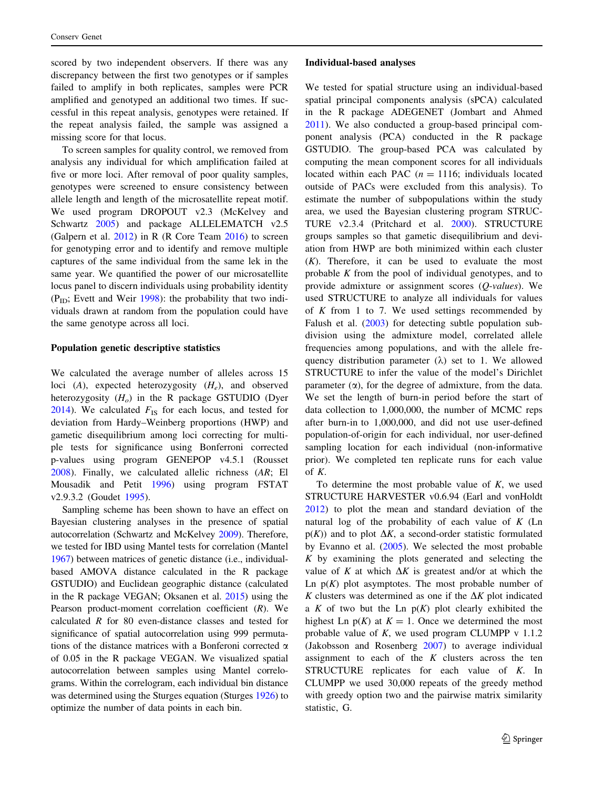scored by two independent observers. If there was any discrepancy between the first two genotypes or if samples failed to amplify in both replicates, samples were PCR amplified and genotyped an additional two times. If successful in this repeat analysis, genotypes were retained. If the repeat analysis failed, the sample was assigned a missing score for that locus.

To screen samples for quality control, we removed from analysis any individual for which amplification failed at five or more loci. After removal of poor quality samples, genotypes were screened to ensure consistency between allele length and length of the microsatellite repeat motif. We used program DROPOUT v2.3 (McKelvey and Schwartz [2005\)](#page-14-0) and package ALLELEMATCH v2.5 (Galpern et al.  $2012$ ) in R (R Core Team  $2016$ ) to screen for genotyping error and to identify and remove multiple captures of the same individual from the same lek in the same year. We quantified the power of our microsatellite locus panel to discern individuals using probability identity  $(P_{ID};$  Evett and Weir [1998](#page-14-0)): the probability that two individuals drawn at random from the population could have the same genotype across all loci.

## Population genetic descriptive statistics

We calculated the average number of alleles across 15 loci (A), expected heterozygosity  $(H_e)$ , and observed heterozygosity  $(H<sub>o</sub>)$  in the R package GSTUDIO (Dyer [2014\)](#page-14-0). We calculated  $F_{IS}$  for each locus, and tested for deviation from Hardy–Weinberg proportions (HWP) and gametic disequilibrium among loci correcting for multiple tests for significance using Bonferroni corrected p-values using program GENEPOP v4.5.1 (Rousset [2008\)](#page-15-0). Finally, we calculated allelic richness (AR; El Mousadik and Petit [1996\)](#page-14-0) using program FSTAT v2.9.3.2 (Goudet [1995](#page-14-0)).

Sampling scheme has been shown to have an effect on Bayesian clustering analyses in the presence of spatial autocorrelation (Schwartz and McKelvey [2009\)](#page-15-0). Therefore, we tested for IBD using Mantel tests for correlation (Mantel [1967\)](#page-14-0) between matrices of genetic distance (i.e., individualbased AMOVA distance calculated in the R package GSTUDIO) and Euclidean geographic distance (calculated in the R package VEGAN; Oksanen et al. [2015](#page-15-0)) using the Pearson product-moment correlation coefficient  $(R)$ . We calculated R for 80 even-distance classes and tested for significance of spatial autocorrelation using 999 permutations of the distance matrices with a Bonferoni corrected  $\alpha$ of 0.05 in the R package VEGAN. We visualized spatial autocorrelation between samples using Mantel correlograms. Within the correlogram, each individual bin distance was determined using the Sturges equation (Sturges [1926\)](#page-15-0) to optimize the number of data points in each bin.

#### Individual-based analyses

We tested for spatial structure using an individual-based spatial principal components analysis (sPCA) calculated in the R package ADEGENET (Jombart and Ahmed [2011](#page-14-0)). We also conducted a group-based principal component analysis (PCA) conducted in the R package GSTUDIO. The group-based PCA was calculated by computing the mean component scores for all individuals located within each PAC  $(n = 1116;$  individuals located outside of PACs were excluded from this analysis). To estimate the number of subpopulations within the study area, we used the Bayesian clustering program STRUC-TURE v2.3.4 (Pritchard et al. [2000\)](#page-15-0). STRUCTURE groups samples so that gametic disequilibrium and deviation from HWP are both minimized within each cluster  $(K)$ . Therefore, it can be used to evaluate the most probable K from the pool of individual genotypes, and to provide admixture or assignment scores (Q-values). We used STRUCTURE to analyze all individuals for values of  $K$  from 1 to 7. We used settings recommended by Falush et al. [\(2003](#page-14-0)) for detecting subtle population subdivision using the admixture model, correlated allele frequencies among populations, and with the allele frequency distribution parameter  $(\lambda)$  set to 1. We allowed STRUCTURE to infer the value of the model's Dirichlet parameter  $(\alpha)$ , for the degree of admixture, from the data. We set the length of burn-in period before the start of data collection to 1,000,000, the number of MCMC reps after burn-in to 1,000,000, and did not use user-defined population-of-origin for each individual, nor user-defined sampling location for each individual (non-informative prior). We completed ten replicate runs for each value of K.

To determine the most probable value of  $K$ , we used STRUCTURE HARVESTER v0.6.94 (Earl and vonHoldt [2012](#page-14-0)) to plot the mean and standard deviation of the natural log of the probability of each value of  $K$  (Ln  $p(K)$ ) and to plot  $\Delta K$ , a second-order statistic formulated by Evanno et al. [\(2005](#page-14-0)). We selected the most probable  $K$  by examining the plots generated and selecting the value of K at which  $\Delta K$  is greatest and/or at which the Ln  $p(K)$  plot asymptotes. The most probable number of K clusters was determined as one if the  $\Delta K$  plot indicated a K of two but the Ln  $p(K)$  plot clearly exhibited the highest Ln  $p(K)$  at  $K = 1$ . Once we determined the most probable value of  $K$ , we used program CLUMPP v 1.1.2 (Jakobsson and Rosenberg [2007](#page-14-0)) to average individual assignment to each of the  $K$  clusters across the ten STRUCTURE replicates for each value of K. In CLUMPP we used 30,000 repeats of the greedy method with greedy option two and the pairwise matrix similarity statistic, G.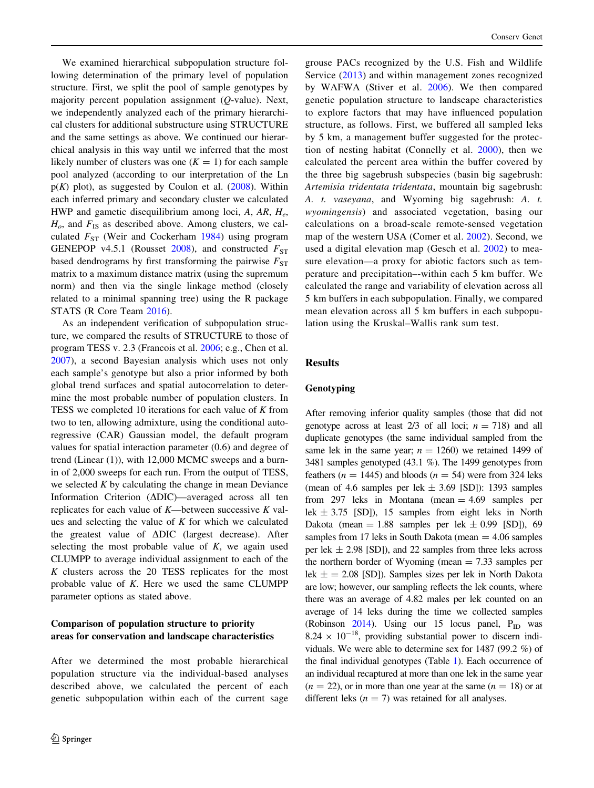We examined hierarchical subpopulation structure following determination of the primary level of population structure. First, we split the pool of sample genotypes by majority percent population assignment  $(Q$ -value). Next, we independently analyzed each of the primary hierarchical clusters for additional substructure using STRUCTURE and the same settings as above. We continued our hierarchical analysis in this way until we inferred that the most likely number of clusters was one  $(K = 1)$  for each sample pool analyzed (according to our interpretation of the Ln  $p(K)$  plot), as suggested by Coulon et al. [\(2008](#page-14-0)). Within each inferred primary and secondary cluster we calculated HWP and gametic disequilibrium among loci, A, AR,  $H_e$ ,  $H<sub>o</sub>$ , and  $F<sub>IS</sub>$  as described above. Among clusters, we calculated  $F_{ST}$  (Weir and Cockerham [1984](#page-16-0)) using program GENEPOP v4.5.1 (Rousset  $2008$ ), and constructed  $F_{ST}$ based dendrograms by first transforming the pairwise  $F_{ST}$ matrix to a maximum distance matrix (using the supremum norm) and then via the single linkage method (closely related to a minimal spanning tree) using the R package STATS (R Core Team [2016](#page-14-0)).

As an independent verification of subpopulation structure, we compared the results of STRUCTURE to those of program TESS v. 2.3 (Francois et al. [2006;](#page-14-0) e.g., Chen et al. [2007\)](#page-13-0), a second Bayesian analysis which uses not only each sample's genotype but also a prior informed by both global trend surfaces and spatial autocorrelation to determine the most probable number of population clusters. In TESS we completed 10 iterations for each value of  $K$  from two to ten, allowing admixture, using the conditional autoregressive (CAR) Gaussian model, the default program values for spatial interaction parameter (0.6) and degree of trend (Linear (1)), with 12,000 MCMC sweeps and a burnin of 2,000 sweeps for each run. From the output of TESS, we selected  $K$  by calculating the change in mean Deviance Information Criterion  $(\Delta DIC)$ —averaged across all ten replicates for each value of  $K$ —between successive  $K$  values and selecting the value of  $K$  for which we calculated the greatest value of DDIC (largest decrease). After selecting the most probable value of  $K$ , we again used CLUMPP to average individual assignment to each of the K clusters across the 20 TESS replicates for the most probable value of K. Here we used the same CLUMPP parameter options as stated above.

# Comparison of population structure to priority areas for conservation and landscape characteristics

After we determined the most probable hierarchical population structure via the individual-based analyses described above, we calculated the percent of each genetic subpopulation within each of the current sage grouse PACs recognized by the U.S. Fish and Wildlife Service [\(2013\)](#page-16-0) and within management zones recognized by WAFWA (Stiver et al. [2006](#page-15-0)). We then compared genetic population structure to landscape characteristics to explore factors that may have influenced population structure, as follows. First, we buffered all sampled leks by 5 km, a management buffer suggested for the protection of nesting habitat (Connelly et al. [2000\)](#page-13-0), then we calculated the percent area within the buffer covered by the three big sagebrush subspecies (basin big sagebrush: Artemisia tridentata tridentata, mountain big sagebrush: A. t. vaseyana, and Wyoming big sagebrush: A. t. wyomingensis) and associated vegetation, basing our calculations on a broad-scale remote-sensed vegetation map of the western USA (Comer et al. [2002](#page-13-0)). Second, we used a digital elevation map (Gesch et al. [2002\)](#page-14-0) to measure elevation—a proxy for abiotic factors such as temperature and precipitation–-within each 5 km buffer. We calculated the range and variability of elevation across all 5 km buffers in each subpopulation. Finally, we compared mean elevation across all 5 km buffers in each subpopulation using the Kruskal–Wallis rank sum test.

# Results

## Genotyping

After removing inferior quality samples (those that did not genotype across at least  $2/3$  of all loci;  $n = 718$ ) and all duplicate genotypes (the same individual sampled from the same lek in the same year;  $n = 1260$ ) we retained 1499 of 3481 samples genotyped (43.1 %). The 1499 genotypes from feathers ( $n = 1445$ ) and bloods ( $n = 54$ ) were from 324 leks (mean of 4.6 samples per lek  $\pm$  3.69 [SD]): 1393 samples from 297 leks in Montana (mean  $= 4.69$  samples per lek  $\pm$  3.75 [SD]), 15 samples from eight leks in North Dakota (mean  $= 1.88$  samples per lek  $\pm$  0.99 [SD]), 69 samples from 17 leks in South Dakota (mean  $=$  4.06 samples per lek  $\pm$  2.98 [SD]), and 22 samples from three leks across the northern border of Wyoming (mean  $= 7.33$  samples per lek  $\pm$  = 2.08 [SD]). Samples sizes per lek in North Dakota are low; however, our sampling reflects the lek counts, where there was an average of 4.82 males per lek counted on an average of 14 leks during the time we collected samples (Robinson  $2014$ ). Using our 15 locus panel,  $P_{ID}$  was  $8.24 \times 10^{-18}$ , providing substantial power to discern individuals. We were able to determine sex for 1487 (99.2 %) of the final individual genotypes (Table [1](#page-6-0)). Each occurrence of an individual recaptured at more than one lek in the same year  $(n = 22)$ , or in more than one year at the same  $(n = 18)$  or at different leks  $(n = 7)$  was retained for all analyses.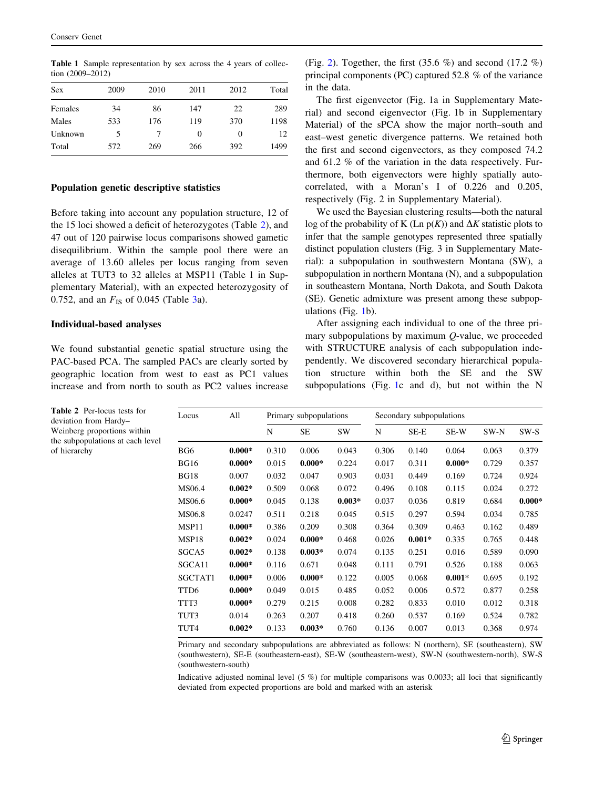| <b>Sex</b> | 2009 | 2010 | 2011     | 2012     | Total |
|------------|------|------|----------|----------|-------|
| Females    | 34   | 86   | 147      | 22       | 289   |
| Males      | 533  | 176  | 119      | 370      | 1198  |
| Unknown    | 5    |      | $\theta$ | $\theta$ | 12    |
| Total      | 572  | 269  | 266      | 392      | 1499  |

<span id="page-6-0"></span>Table 1 Sample representation by sex across the 4 years of collection (2009–2012)

#### Population genetic descriptive statistics

Before taking into account any population structure, 12 of the 15 loci showed a deficit of heterozygotes (Table 2), and 47 out of 120 pairwise locus comparisons showed gametic disequilibrium. Within the sample pool there were an average of 13.60 alleles per locus ranging from seven alleles at TUT3 to 32 alleles at MSP11 (Table 1 in Supplementary Material), with an expected heterozygosity of 0.752, and an  $F_{IS}$  of 0.045 (Table [3a](#page-7-0)).

## Individual-based analyses

We found substantial genetic spatial structure using the PAC-based PCA. The sampled PACs are clearly sorted by geographic location from west to east as PC1 values increase and from north to south as PC2 values increase

(Fig. [2\)](#page-8-0). Together, the first  $(35.6\%)$  and second  $(17.2\%)$ principal components (PC) captured 52.8 % of the variance in the data.

The first eigenvector (Fig. 1a in Supplementary Material) and second eigenvector (Fig. 1b in Supplementary Material) of the sPCA show the major north–south and east–west genetic divergence patterns. We retained both the first and second eigenvectors, as they composed 74.2 and 61.2 % of the variation in the data respectively. Furthermore, both eigenvectors were highly spatially autocorrelated, with a Moran's I of 0.226 and 0.205, respectively (Fig. 2 in Supplementary Material).

We used the Bayesian clustering results—both the natural log of the probability of K (Ln  $p(K)$ ) and  $\Delta K$  statistic plots to infer that the sample genotypes represented three spatially distinct population clusters (Fig. 3 in Supplementary Material): a subpopulation in southwestern Montana (SW), a subpopulation in northern Montana (N), and a subpopulation in southeastern Montana, North Dakota, and South Dakota (SE). Genetic admixture was present among these subpopulations (Fig. [1](#page-3-0)b).

After assigning each individual to one of the three primary subpopulations by maximum Q-value, we proceeded with STRUCTURE analysis of each subpopulation independently. We discovered secondary hierarchical population structure within both the SE and the SW subpopulations (Fig. [1](#page-3-0)c and d), but not within the N

| Locus            | All      | Primary subpopulations |          |           | Secondary subpopulations |          |          |       |          |  |
|------------------|----------|------------------------|----------|-----------|--------------------------|----------|----------|-------|----------|--|
|                  |          | N                      | SE       | <b>SW</b> | N                        | SE-E     | SE-W     | SW-N  | SW-S     |  |
| BG6              | $0.000*$ | 0.310                  | 0.006    | 0.043     | 0.306                    | 0.140    | 0.064    | 0.063 | 0.379    |  |
| <b>BG16</b>      | $0.000*$ | 0.015                  | $0.000*$ | 0.224     | 0.017                    | 0.311    | $0.000*$ | 0.729 | 0.357    |  |
| <b>BG18</b>      | 0.007    | 0.032                  | 0.047    | 0.903     | 0.031                    | 0.449    | 0.169    | 0.724 | 0.924    |  |
| MS06.4           | $0.002*$ | 0.509                  | 0.068    | 0.072     | 0.496                    | 0.108    | 0.115    | 0.024 | 0.272    |  |
| MS06.6           | $0.000*$ | 0.045                  | 0.138    | $0.003*$  | 0.037                    | 0.036    | 0.819    | 0.684 | $0.000*$ |  |
| MS06.8           | 0.0247   | 0.511                  | 0.218    | 0.045     | 0.515                    | 0.297    | 0.594    | 0.034 | 0.785    |  |
| MSP11            | $0.000*$ | 0.386                  | 0.209    | 0.308     | 0.364                    | 0.309    | 0.463    | 0.162 | 0.489    |  |
| MSP18            | $0.002*$ | 0.024                  | $0.000*$ | 0.468     | 0.026                    | $0.001*$ | 0.335    | 0.765 | 0.448    |  |
| SGCA5            | $0.002*$ | 0.138                  | $0.003*$ | 0.074     | 0.135                    | 0.251    | 0.016    | 0.589 | 0.090    |  |
| SGCA11           | $0.000*$ | 0.116                  | 0.671    | 0.048     | 0.111                    | 0.791    | 0.526    | 0.188 | 0.063    |  |
| SGCTAT1          | $0.000*$ | 0.006                  | $0.000*$ | 0.122     | 0.005                    | 0.068    | $0.001*$ | 0.695 | 0.192    |  |
| TTD6             | $0.000*$ | 0.049                  | 0.015    | 0.485     | 0.052                    | 0.006    | 0.572    | 0.877 | 0.258    |  |
| TTT3             | $0.000*$ | 0.279                  | 0.215    | 0.008     | 0.282                    | 0.833    | 0.010    | 0.012 | 0.318    |  |
| TUT3             | 0.014    | 0.263                  | 0.207    | 0.418     | 0.260                    | 0.537    | 0.169    | 0.524 | 0.782    |  |
| TUT <sub>4</sub> | $0.002*$ | 0.133                  | $0.003*$ | 0.760     | 0.136                    | 0.007    | 0.013    | 0.368 | 0.974    |  |

Primary and secondary subpopulations are abbreviated as follows: N (northern), SE (southeastern), SW (southwestern), SE-E (southeastern-east), SE-W (southeastern-west), SW-N (southwestern-north), SW-S (southwestern-south)

Indicative adjusted nominal level (5 %) for multiple comparisons was 0.0033; all loci that significantly deviated from expected proportions are bold and marked with an asterisk

Table 2 Per-locus tests for deviation from Hardy– Weinberg proportions within the subpopulations at each level of hierarchy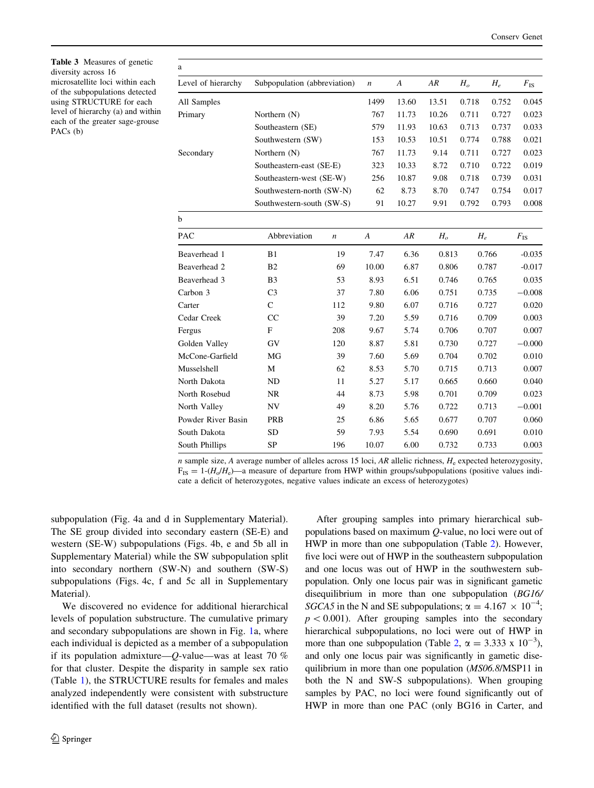<span id="page-7-0"></span>Table 3 Measures of genetic diversity across 16 microsatellite loci within each of the subpopulations detected using STRUCTURE for each level of hierarchy (a) and within each of the greater sage-grouse PACs (b)

| a                  |                              |                  |                  |       |              |                            |              |              |
|--------------------|------------------------------|------------------|------------------|-------|--------------|----------------------------|--------------|--------------|
| Level of hierarchy | Subpopulation (abbreviation) | n                | $\boldsymbol{A}$ | AR    | $H_{\alpha}$ | $H_{\scriptscriptstyle e}$ | $F_{\rm IS}$ |              |
| All Samples        |                              |                  | 1499             | 13.60 | 13.51        | 0.718                      | 0.752        | 0.045        |
| Primary            | Northern $(N)$               |                  | 767              | 11.73 | 10.26        | 0.711                      | 0.727        | 0.023        |
|                    | Southeastern (SE)            | 579              | 11.93            | 10.63 | 0.713        | 0.737                      | 0.033        |              |
|                    | Southwestern (SW)            | 153              | 10.53            | 10.51 | 0.774        | 0.788                      | 0.021        |              |
| Secondary          | Northern (N)                 |                  | 767              | 11.73 | 9.14         | 0.711                      | 0.727        | 0.023        |
|                    | Southeastern-east (SE-E)     | 323              | 10.33            | 8.72  | 0.710        | 0.722                      | 0.019        |              |
|                    | Southeastern-west (SE-W)     | 256              | 10.87            | 9.08  | 0.718        | 0.739                      | 0.031        |              |
|                    | Southwestern-north (SW-N)    | 62               | 8.73             | 8.70  | 0.747        | 0.754                      | 0.017        |              |
|                    | Southwestern-south (SW-S)    |                  | 91               | 10.27 | 9.91         | 0.792                      | 0.793        | 0.008        |
| b                  |                              |                  |                  |       |              |                            |              |              |
| PAC                | Abbreviation                 | $\boldsymbol{n}$ | $\boldsymbol{A}$ | AR    | $H_o$        | $H_e$                      |              | $F_{\rm IS}$ |
| Beaverhead 1       | B1                           | 19               | 7.47             | 6.36  | 0.813        |                            | 0.766        | $-0.035$     |
| Beaverhead 2       | B <sub>2</sub>               | 69               | 10.00            | 6.87  | 0.806        |                            | 0.787        | $-0.017$     |
| Beaverhead 3       | B <sub>3</sub>               | 53               | 8.93             | 6.51  | 0.746        |                            | 0.765        | 0.035        |
| Carbon 3           | C <sub>3</sub>               | 37               | 7.80             | 6.06  | 0.751        |                            | 0.735        | $-0.008$     |
| Carter             | $\mathsf{C}$                 | 112              | 9.80             | 6.07  | 0.716        |                            | 0.727        | 0.020        |
| Cedar Creek        | CC                           | 39               | 7.20             | 5.59  | 0.716        |                            | 0.709        | 0.003        |
| Fergus             | F                            | 208              | 9.67             | 5.74  | 0.706        |                            | 0.707        | 0.007        |
| Golden Valley      | GV                           | 120              | 8.87             | 5.81  | 0.730        |                            | 0.727        | $-0.000$     |
| McCone-Garfield    | MG                           | 39               | 7.60             | 5.69  | 0.704        |                            | 0.702        | 0.010        |
| Musselshell        | M                            | 62               | 8.53             | 5.70  | 0.715        |                            | 0.713        | 0.007        |
| North Dakota       | ND                           | 11               | 5.27             | 5.17  | 0.665        |                            | 0.660        | 0.040        |
| North Rosebud      | <b>NR</b>                    | 44               | 8.73             | 5.98  | 0.701        |                            | 0.709        | 0.023        |
| North Valley       | NV                           | 49               | 8.20             | 5.76  | 0.722        |                            | 0.713        | $-0.001$     |
| Powder River Basin | PRB                          | 25               | 6.86             | 5.65  | 0.677        |                            | 0.707        | 0.060        |
| South Dakota       | <b>SD</b>                    | 59               | 7.93             | 5.54  | 0.690        |                            | 0.691        | 0.010        |
| South Phillips     | <b>SP</b>                    | 196              | 10.07            | 6.00  | 0.732        |                            | 0.733        | 0.003        |

n sample size, A average number of alleles across 15 loci, AR allelic richness,  $H_e$  expected heterozygosity,  $F_{1S} = 1-(H_0/H_e)$ —a measure of departure from HWP within groups/subpopulations (positive values indicate a deficit of heterozygotes, negative values indicate an excess of heterozygotes)

subpopulation (Fig. 4a and d in Supplementary Material). The SE group divided into secondary eastern (SE-E) and western (SE-W) subpopulations (Figs. 4b, e and 5b all in Supplementary Material) while the SW subpopulation split into secondary northern (SW-N) and southern (SW-S) subpopulations (Figs. 4c, f and 5c all in Supplementary Material).

We discovered no evidence for additional hierarchical levels of population substructure. The cumulative primary and secondary subpopulations are shown in Fig. [1a](#page-3-0), where each individual is depicted as a member of a subpopulation if its population admixture— $Q$ -value—was at least 70 % for that cluster. Despite the disparity in sample sex ratio (Table [1](#page-6-0)), the STRUCTURE results for females and males analyzed independently were consistent with substructure identified with the full dataset (results not shown).

After grouping samples into primary hierarchical subpopulations based on maximum Q-value, no loci were out of HWP in more than one subpopulation (Table [2\)](#page-6-0). However, five loci were out of HWP in the southeastern subpopulation and one locus was out of HWP in the southwestern subpopulation. Only one locus pair was in significant gametic disequilibrium in more than one subpopulation (BG16/ SGCA5 in the N and SE subpopulations;  $\alpha = 4.167 \times 10^{-4}$ ;  $p < 0.001$ ). After grouping samples into the secondary hierarchical subpopulations, no loci were out of HWP in more than one subpopulation (Table [2](#page-6-0),  $\alpha = 3.333 \times 10^{-3}$ ), and only one locus pair was significantly in gametic disequilibrium in more than one population (MS06.8/MSP11 in both the N and SW-S subpopulations). When grouping samples by PAC, no loci were found significantly out of HWP in more than one PAC (only BG16 in Carter, and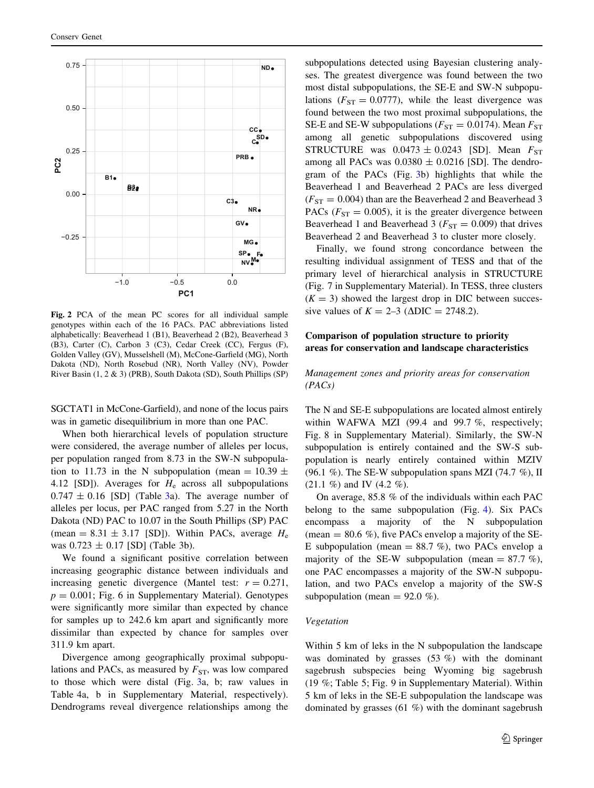<span id="page-8-0"></span>

Fig. 2 PCA of the mean PC scores for all individual sample genotypes within each of the 16 PACs. PAC abbreviations listed alphabetically: Beaverhead 1 (B1), Beaverhead 2 (B2), Beaverhead 3 (B3), Carter (C), Carbon 3 (C3), Cedar Creek (CC), Fergus (F), Golden Valley (GV), Musselshell (M), McCone-Garfield (MG), North Dakota (ND), North Rosebud (NR), North Valley (NV), Powder River Basin (1, 2 & 3) (PRB), South Dakota (SD), South Phillips (SP)

SGCTAT1 in McCone-Garfield), and none of the locus pairs was in gametic disequilibrium in more than one PAC.

When both hierarchical levels of population structure were considered, the average number of alleles per locus, per population ranged from 8.73 in the SW-N subpopulation to 11.73 in the N subpopulation (mean =  $10.39 \pm$ 4.12 [SD]). Averages for  $H_e$  across all subpopulations  $0.747 \pm 0.16$  [SD] (Table [3](#page-7-0)a). The average number of alleles per locus, per PAC ranged from 5.27 in the North Dakota (ND) PAC to 10.07 in the South Phillips (SP) PAC (mean =  $8.31 \pm 3.17$  [SD]). Within PACs, average  $H_e$ was  $0.723 \pm 0.17$  [SD] (Table 3b).

We found a significant positive correlation between increasing geographic distance between individuals and increasing genetic divergence (Mantel test:  $r = 0.271$ ,  $p = 0.001$ ; Fig. 6 in Supplementary Material). Genotypes were significantly more similar than expected by chance for samples up to 242.6 km apart and significantly more dissimilar than expected by chance for samples over 311.9 km apart.

Divergence among geographically proximal subpopulations and PACs, as measured by  $F_{ST}$ , was low compared to those which were distal (Fig. [3](#page-9-0)a, b; raw values in Table 4a, b in Supplementary Material, respectively). Dendrograms reveal divergence relationships among the subpopulations detected using Bayesian clustering analyses. The greatest divergence was found between the two most distal subpopulations, the SE-E and SW-N subpopulations ( $F_{ST} = 0.0777$ ), while the least divergence was found between the two most proximal subpopulations, the SE-E and SE-W subpopulations ( $F_{ST} = 0.0174$ ). Mean  $F_{ST}$ among all genetic subpopulations discovered using STRUCTURE was  $0.0473 \pm 0.0243$  [SD]. Mean  $F_{ST}$ among all PACs was  $0.0380 \pm 0.0216$  [SD]. The dendrogram of the PACs (Fig. [3](#page-9-0)b) highlights that while the Beaverhead 1 and Beaverhead 2 PACs are less diverged  $(F_{ST} = 0.004)$  than are the Beaverhead 2 and Beaverhead 3 PACs ( $F_{ST} = 0.005$ ), it is the greater divergence between Beaverhead 1 and Beaverhead 3 ( $F_{ST} = 0.009$ ) that drives Beaverhead 2 and Beaverhead 3 to cluster more closely.

Finally, we found strong concordance between the resulting individual assignment of TESS and that of the primary level of hierarchical analysis in STRUCTURE (Fig. 7 in Supplementary Material). In TESS, three clusters  $(K = 3)$  showed the largest drop in DIC between successive values of  $K = 2-3$  ( $\triangle DIC = 2748.2$ ).

# Comparison of population structure to priority areas for conservation and landscape characteristics

# Management zones and priority areas for conservation (PACs)

The N and SE-E subpopulations are located almost entirely within WAFWA MZI (99.4 and 99.7 %, respectively; Fig. 8 in Supplementary Material). Similarly, the SW-N subpopulation is entirely contained and the SW-S subpopulation is nearly entirely contained within MZIV (96.1 %). The SE-W subpopulation spans MZI (74.7 %), II  $(21.1 \%)$  and IV  $(4.2 \%)$ .

On average, 85.8 % of the individuals within each PAC belong to the same subpopulation (Fig. [4](#page-10-0)). Six PACs encompass a majority of the N subpopulation (mean  $= 80.6\%$ ), five PACs envelop a majority of the SE-E subpopulation (mean  $= 88.7 %$ ), two PACs envelop a majority of the SE-W subpopulation (mean  $= 87.7\%$ ). one PAC encompasses a majority of the SW-N subpopulation, and two PACs envelop a majority of the SW-S subpopulation (mean  $= 92.0 \%$ ).

## Vegetation

Within 5 km of leks in the N subpopulation the landscape was dominated by grasses (53 %) with the dominant sagebrush subspecies being Wyoming big sagebrush (19 %; Table 5; Fig. 9 in Supplementary Material). Within 5 km of leks in the SE-E subpopulation the landscape was dominated by grasses (61 %) with the dominant sagebrush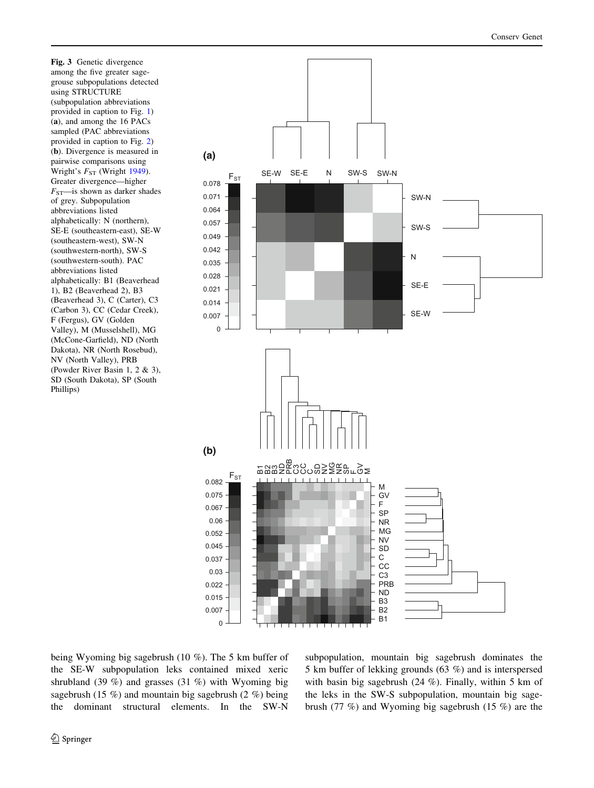<span id="page-9-0"></span>Fig. 3 Genetic divergence among the five greater sagegrouse subpopulations detected using STRUCTURE (subpopulation abbreviations provided in caption to Fig. [1](#page-3-0)) (a), and among the 16 PACs sampled (PAC abbreviations provided in caption to Fig. [2](#page-8-0)) (b). Divergence is measured in pairwise comparisons using Wright's  $F_{ST}$  (Wright [1949](#page-16-0)). Greater divergence—higher  $F_{ST}$ —is shown as darker shades of grey. Subpopulation abbreviations listed alphabetically: N (northern), SE-E (southeastern-east), SE-W (southeastern-west), SW-N (southwestern-north), SW-S (southwestern-south). PAC abbreviations listed alphabetically: B1 (Beaverhead 1), B2 (Beaverhead 2), B3 (Beaverhead 3), C (Carter), C3 (Carbon 3), CC (Cedar Creek), F (Fergus), GV (Golden Valley), M (Musselshell), MG (McCone-Garfield), ND (North Dakota), NR (North Rosebud), NV (North Valley), PRB (Powder River Basin 1, 2 & 3), SD (South Dakota), SP (South Phillips)





being Wyoming big sagebrush (10 %). The 5 km buffer of the SE-W subpopulation leks contained mixed xeric shrubland (39 %) and grasses (31 %) with Wyoming big sagebrush (15 %) and mountain big sagebrush (2 %) being the dominant structural elements. In the SW-N

0.007 0.014 0.021 0.035 0.035 0.049 0.049 0.064<br>0.057

**(a)**

subpopulation, mountain big sagebrush dominates the 5 km buffer of lekking grounds (63 %) and is interspersed with basin big sagebrush (24 %). Finally, within 5 km of the leks in the SW-S subpopulation, mountain big sagebrush (77 %) and Wyoming big sagebrush (15 %) are the

<sup>2</sup> Springer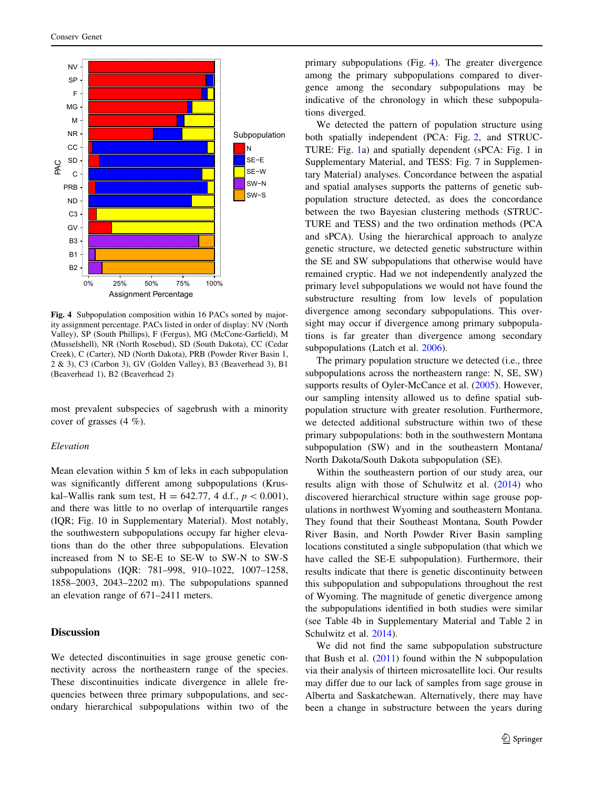<span id="page-10-0"></span>

Fig. 4 Subpopulation composition within 16 PACs sorted by majority assignment percentage. PACs listed in order of display: NV (North Valley), SP (South Phillips), F (Fergus), MG (McCone-Garfield), M (Musselshell), NR (North Rosebud), SD (South Dakota), CC (Cedar Creek), C (Carter), ND (North Dakota), PRB (Powder River Basin 1, 2 & 3), C3 (Carbon 3), GV (Golden Valley), B3 (Beaverhead 3), B1 (Beaverhead 1), B2 (Beaverhead 2)

most prevalent subspecies of sagebrush with a minority cover of grasses  $(4 \%)$ .

## Elevation

Mean elevation within 5 km of leks in each subpopulation was significantly different among subpopulations (Kruskal–Wallis rank sum test,  $H = 642.77$ , 4 d.f.,  $p < 0.001$ ), and there was little to no overlap of interquartile ranges (IQR; Fig. 10 in Supplementary Material). Most notably, the southwestern subpopulations occupy far higher elevations than do the other three subpopulations. Elevation increased from N to SE-E to SE-W to SW-N to SW-S subpopulations (IQR: 781–998, 910–1022, 1007–1258, 1858–2003, 2043–2202 m). The subpopulations spanned an elevation range of 671–2411 meters.

# **Discussion**

We detected discontinuities in sage grouse genetic connectivity across the northeastern range of the species. These discontinuities indicate divergence in allele frequencies between three primary subpopulations, and secondary hierarchical subpopulations within two of the primary subpopulations (Fig. 4). The greater divergence among the primary subpopulations compared to divergence among the secondary subpopulations may be indicative of the chronology in which these subpopulations diverged.

We detected the pattern of population structure using both spatially independent (PCA: Fig. [2](#page-8-0), and STRUC-TURE: Fig. [1a](#page-3-0)) and spatially dependent (sPCA: Fig. 1 in Supplementary Material, and TESS: Fig. 7 in Supplementary Material) analyses. Concordance between the aspatial and spatial analyses supports the patterns of genetic subpopulation structure detected, as does the concordance between the two Bayesian clustering methods (STRUC-TURE and TESS) and the two ordination methods (PCA and sPCA). Using the hierarchical approach to analyze genetic structure, we detected genetic substructure within the SE and SW subpopulations that otherwise would have remained cryptic. Had we not independently analyzed the primary level subpopulations we would not have found the substructure resulting from low levels of population divergence among secondary subpopulations. This oversight may occur if divergence among primary subpopulations is far greater than divergence among secondary subpopulations (Latch et al. [2006](#page-14-0)).

The primary population structure we detected (i.e., three subpopulations across the northeastern range: N, SE, SW) supports results of Oyler-McCance et al. ([2005](#page-15-0)). However, our sampling intensity allowed us to define spatial subpopulation structure with greater resolution. Furthermore, we detected additional substructure within two of these primary subpopulations: both in the southwestern Montana subpopulation (SW) and in the southeastern Montana/ North Dakota/South Dakota subpopulation (SE).

Within the southeastern portion of our study area, our results align with those of Schulwitz et al. ([2014\)](#page-15-0) who discovered hierarchical structure within sage grouse populations in northwest Wyoming and southeastern Montana. They found that their Southeast Montana, South Powder River Basin, and North Powder River Basin sampling locations constituted a single subpopulation (that which we have called the SE-E subpopulation). Furthermore, their results indicate that there is genetic discontinuity between this subpopulation and subpopulations throughout the rest of Wyoming. The magnitude of genetic divergence among the subpopulations identified in both studies were similar (see Table 4b in Supplementary Material and Table 2 in Schulwitz et al. [2014](#page-15-0)).

We did not find the same subpopulation substructure that Bush et al.  $(2011)$  $(2011)$  found within the N subpopulation via their analysis of thirteen microsatellite loci. Our results may differ due to our lack of samples from sage grouse in Alberta and Saskatchewan. Alternatively, there may have been a change in substructure between the years during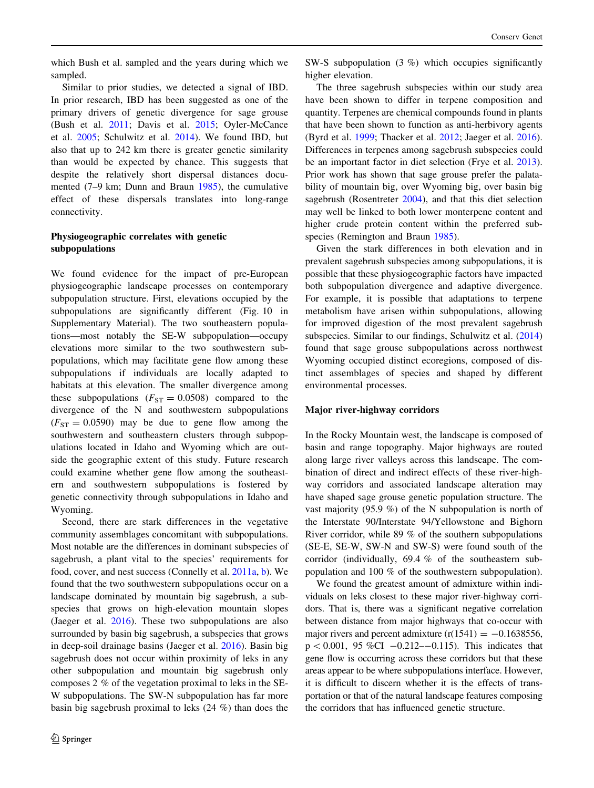which Bush et al. sampled and the years during which we sampled.

Similar to prior studies, we detected a signal of IBD. In prior research, IBD has been suggested as one of the primary drivers of genetic divergence for sage grouse (Bush et al. [2011](#page-13-0); Davis et al. [2015](#page-14-0); Oyler-McCance et al. [2005](#page-15-0); Schulwitz et al. [2014](#page-15-0)). We found IBD, but also that up to 242 km there is greater genetic similarity than would be expected by chance. This suggests that despite the relatively short dispersal distances documented (7–9 km; Dunn and Braun [1985](#page-14-0)), the cumulative effect of these dispersals translates into long-range connectivity.

# Physiogeographic correlates with genetic subpopulations

We found evidence for the impact of pre-European physiogeographic landscape processes on contemporary subpopulation structure. First, elevations occupied by the subpopulations are significantly different (Fig. 10 in Supplementary Material). The two southeastern populations—most notably the SE-W subpopulation—occupy elevations more similar to the two southwestern subpopulations, which may facilitate gene flow among these subpopulations if individuals are locally adapted to habitats at this elevation. The smaller divergence among these subpopulations ( $F_{ST} = 0.0508$ ) compared to the divergence of the N and southwestern subpopulations  $(F_{ST} = 0.0590)$  may be due to gene flow among the southwestern and southeastern clusters through subpopulations located in Idaho and Wyoming which are outside the geographic extent of this study. Future research could examine whether gene flow among the southeastern and southwestern subpopulations is fostered by genetic connectivity through subpopulations in Idaho and Wyoming.

Second, there are stark differences in the vegetative community assemblages concomitant with subpopulations. Most notable are the differences in dominant subspecies of sagebrush, a plant vital to the species' requirements for food, cover, and nest success (Connelly et al. [2011a](#page-13-0), [b](#page-13-0)). We found that the two southwestern subpopulations occur on a landscape dominated by mountain big sagebrush, a subspecies that grows on high-elevation mountain slopes (Jaeger et al. [2016](#page-14-0)). These two subpopulations are also surrounded by basin big sagebrush, a subspecies that grows in deep-soil drainage basins (Jaeger et al. [2016\)](#page-14-0). Basin big sagebrush does not occur within proximity of leks in any other subpopulation and mountain big sagebrush only composes 2 % of the vegetation proximal to leks in the SE-W subpopulations. The SW-N subpopulation has far more basin big sagebrush proximal to leks (24 %) than does the SW-S subpopulation (3 %) which occupies significantly higher elevation.

The three sagebrush subspecies within our study area have been shown to differ in terpene composition and quantity. Terpenes are chemical compounds found in plants that have been shown to function as anti-herbivory agents (Byrd et al. [1999;](#page-13-0) Thacker et al. [2012;](#page-15-0) Jaeger et al. [2016](#page-14-0)). Differences in terpenes among sagebrush subspecies could be an important factor in diet selection (Frye et al. [2013](#page-14-0)). Prior work has shown that sage grouse prefer the palatability of mountain big, over Wyoming big, over basin big sagebrush (Rosentreter [2004\)](#page-15-0), and that this diet selection may well be linked to both lower monterpene content and higher crude protein content within the preferred subspecies (Remington and Braun [1985](#page-15-0)).

Given the stark differences in both elevation and in prevalent sagebrush subspecies among subpopulations, it is possible that these physiogeographic factors have impacted both subpopulation divergence and adaptive divergence. For example, it is possible that adaptations to terpene metabolism have arisen within subpopulations, allowing for improved digestion of the most prevalent sagebrush subspecies. Similar to our findings, Schulwitz et al. ([2014\)](#page-15-0) found that sage grouse subpopulations across northwest Wyoming occupied distinct ecoregions, composed of distinct assemblages of species and shaped by different environmental processes.

## Major river-highway corridors

In the Rocky Mountain west, the landscape is composed of basin and range topography. Major highways are routed along large river valleys across this landscape. The combination of direct and indirect effects of these river-highway corridors and associated landscape alteration may have shaped sage grouse genetic population structure. The vast majority (95.9 %) of the N subpopulation is north of the Interstate 90/Interstate 94/Yellowstone and Bighorn River corridor, while 89 % of the southern subpopulations (SE-E, SE-W, SW-N and SW-S) were found south of the corridor (individually, 69.4 % of the southeastern subpopulation and 100 % of the southwestern subpopulation).

We found the greatest amount of admixture within individuals on leks closest to these major river-highway corridors. That is, there was a significant negative correlation between distance from major highways that co-occur with major rivers and percent admixture  $(r(1541) = -0.1638556,$  $p < 0.001$ , 95 %CI  $-0.212-0.115$ ). This indicates that gene flow is occurring across these corridors but that these areas appear to be where subpopulations interface. However, it is difficult to discern whether it is the effects of transportation or that of the natural landscape features composing the corridors that has influenced genetic structure.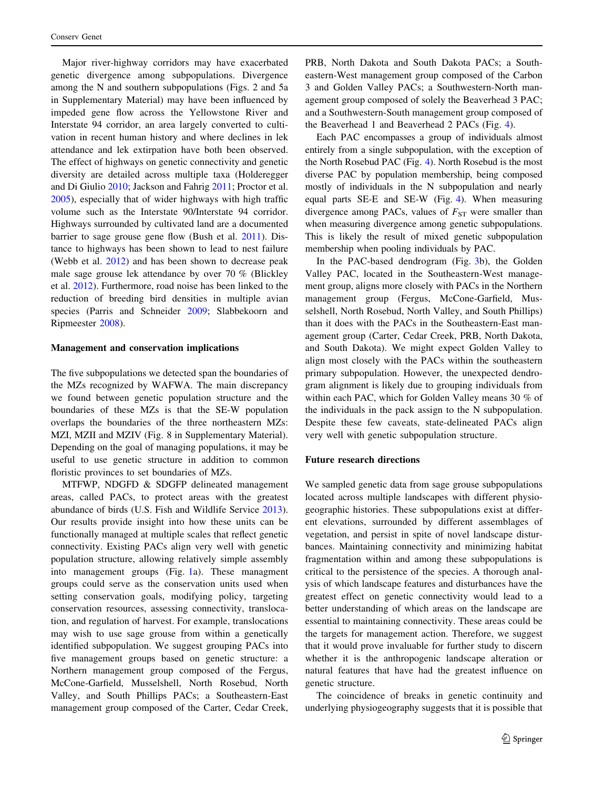Major river-highway corridors may have exacerbated genetic divergence among subpopulations. Divergence among the N and southern subpopulations (Figs. 2 and 5a in Supplementary Material) may have been influenced by impeded gene flow across the Yellowstone River and Interstate 94 corridor, an area largely converted to cultivation in recent human history and where declines in lek attendance and lek extirpation have both been observed. The effect of highways on genetic connectivity and genetic diversity are detailed across multiple taxa (Holderegger and Di Giulio [2010](#page-14-0); Jackson and Fahrig [2011;](#page-14-0) Proctor et al. [2005\)](#page-15-0), especially that of wider highways with high traffic volume such as the Interstate 90/Interstate 94 corridor. Highways surrounded by cultivated land are a documented barrier to sage grouse gene flow (Bush et al. [2011](#page-13-0)). Distance to highways has been shown to lead to nest failure (Webb et al. [2012](#page-16-0)) and has been shown to decrease peak male sage grouse lek attendance by over 70 % (Blickley et al. [2012](#page-13-0)). Furthermore, road noise has been linked to the reduction of breeding bird densities in multiple avian species (Parris and Schneider [2009;](#page-15-0) Slabbekoorn and Ripmeester [2008\)](#page-15-0).

#### Management and conservation implications

The five subpopulations we detected span the boundaries of the MZs recognized by WAFWA. The main discrepancy we found between genetic population structure and the boundaries of these MZs is that the SE-W population overlaps the boundaries of the three northeastern MZs: MZI, MZII and MZIV (Fig. 8 in Supplementary Material). Depending on the goal of managing populations, it may be useful to use genetic structure in addition to common floristic provinces to set boundaries of MZs.

MTFWP, NDGFD & SDGFP delineated management areas, called PACs, to protect areas with the greatest abundance of birds (U.S. Fish and Wildlife Service [2013](#page-16-0)). Our results provide insight into how these units can be functionally managed at multiple scales that reflect genetic connectivity. Existing PACs align very well with genetic population structure, allowing relatively simple assembly into management groups (Fig. [1a](#page-3-0)). These managment groups could serve as the conservation units used when setting conservation goals, modifying policy, targeting conservation resources, assessing connectivity, translocation, and regulation of harvest. For example, translocations may wish to use sage grouse from within a genetically identified subpopulation. We suggest grouping PACs into five management groups based on genetic structure: a Northern management group composed of the Fergus, McCone-Garfield, Musselshell, North Rosebud, North Valley, and South Phillips PACs; a Southeastern-East management group composed of the Carter, Cedar Creek,

PRB, North Dakota and South Dakota PACs; a Southeastern-West management group composed of the Carbon 3 and Golden Valley PACs; a Southwestern-North management group composed of solely the Beaverhead 3 PAC; and a Southwestern-South management group composed of the Beaverhead 1 and Beaverhead 2 PACs (Fig. [4](#page-10-0)).

Each PAC encompasses a group of individuals almost entirely from a single subpopulation, with the exception of the North Rosebud PAC (Fig. [4](#page-10-0)). North Rosebud is the most diverse PAC by population membership, being composed mostly of individuals in the N subpopulation and nearly equal parts SE-E and SE-W (Fig. [4](#page-10-0)). When measuring divergence among PACs, values of  $F_{ST}$  were smaller than when measuring divergence among genetic subpopulations. This is likely the result of mixed genetic subpopulation membership when pooling individuals by PAC.

In the PAC-based dendrogram (Fig. [3b](#page-9-0)), the Golden Valley PAC, located in the Southeastern-West management group, aligns more closely with PACs in the Northern management group (Fergus, McCone-Garfield, Musselshell, North Rosebud, North Valley, and South Phillips) than it does with the PACs in the Southeastern-East management group (Carter, Cedar Creek, PRB, North Dakota, and South Dakota). We might expect Golden Valley to align most closely with the PACs within the southeastern primary subpopulation. However, the unexpected dendrogram alignment is likely due to grouping individuals from within each PAC, which for Golden Valley means 30 % of the individuals in the pack assign to the N subpopulation. Despite these few caveats, state-delineated PACs align very well with genetic subpopulation structure.

## Future research directions

We sampled genetic data from sage grouse subpopulations located across multiple landscapes with different physiogeographic histories. These subpopulations exist at different elevations, surrounded by different assemblages of vegetation, and persist in spite of novel landscape disturbances. Maintaining connectivity and minimizing habitat fragmentation within and among these subpopulations is critical to the persistence of the species. A thorough analysis of which landscape features and disturbances have the greatest effect on genetic connectivity would lead to a better understanding of which areas on the landscape are essential to maintaining connectivity. These areas could be the targets for management action. Therefore, we suggest that it would prove invaluable for further study to discern whether it is the anthropogenic landscape alteration or natural features that have had the greatest influence on genetic structure.

The coincidence of breaks in genetic continuity and underlying physiogeography suggests that it is possible that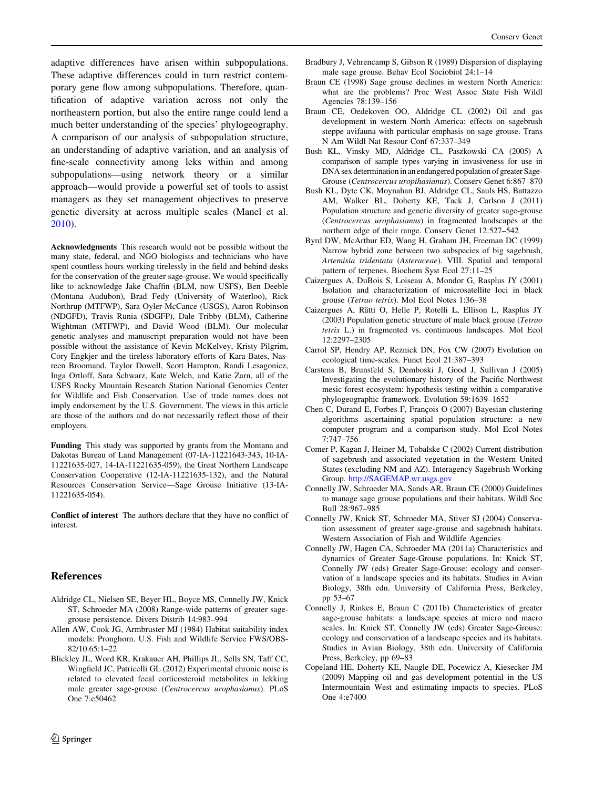<span id="page-13-0"></span>adaptive differences have arisen within subpopulations. These adaptive differences could in turn restrict contemporary gene flow among subpopulations. Therefore, quantification of adaptive variation across not only the northeastern portion, but also the entire range could lend a much better understanding of the species' phylogeography. A comparison of our analysis of subpopulation structure, an understanding of adaptive variation, and an analysis of fine-scale connectivity among leks within and among subpopulations—using network theory or a similar approach—would provide a powerful set of tools to assist managers as they set management objectives to preserve genetic diversity at across multiple scales (Manel et al. [2010\)](#page-14-0).

Acknowledgments This research would not be possible without the many state, federal, and NGO biologists and technicians who have spent countless hours working tirelessly in the field and behind desks for the conservation of the greater sage-grouse. We would specifically like to acknowledge Jake Chaffin (BLM, now USFS), Ben Deeble (Montana Audubon), Brad Fedy (University of Waterloo), Rick Northrup (MTFWP), Sara Oyler-McCance (USGS), Aaron Robinson (NDGFD), Travis Runia (SDGFP), Dale Tribby (BLM), Catherine Wightman (MTFWP), and David Wood (BLM). Our molecular genetic analyses and manuscript preparation would not have been possible without the assistance of Kevin McKelvey, Kristy Pilgrim, Cory Engkjer and the tireless laboratory efforts of Kara Bates, Nasreen Broomand, Taylor Dowell, Scott Hampton, Randi Lesagonicz, Inga Ortloff, Sara Schwarz, Kate Welch, and Katie Zarn, all of the USFS Rocky Mountain Research Station National Genomics Center for Wildlife and Fish Conservation. Use of trade names does not imply endorsement by the U.S. Government. The views in this article are those of the authors and do not necessarily reflect those of their employers.

Funding This study was supported by grants from the Montana and Dakotas Bureau of Land Management (07-IA-11221643-343, 10-IA-11221635-027, 14-IA-11221635-059), the Great Northern Landscape Conservation Cooperative (12-IA-11221635-132), and the Natural Resources Conservation Service—Sage Grouse Initiative (13-IA-11221635-054).

Conflict of interest The authors declare that they have no conflict of interest.

# References

- Aldridge CL, Nielsen SE, Beyer HL, Boyce MS, Connelly JW, Knick ST, Schroeder MA (2008) Range-wide patterns of greater sagegrouse persistence. Divers Distrib 14:983–994
- Allen AW, Cook JG, Armbruster MJ (1984) Habitat suitability index models: Pronghorn. U.S. Fish and Wildlife Service FWS/OBS-82/10.65:1–22
- Blickley JL, Word KR, Krakauer AH, Phillips JL, Sells SN, Taff CC, Wingfield JC, Patricelli GL (2012) Experimental chronic noise is related to elevated fecal corticosteroid metabolites in lekking male greater sage-grouse (Centrocercus urophasianus). PLoS One 7:e50462
- Bradbury J, Vehrencamp S, Gibson R (1989) Dispersion of displaying male sage grouse. Behav Ecol Sociobiol 24:1–14
- Braun CE (1998) Sage grouse declines in western North America: what are the problems? Proc West Assoc State Fish Wildl Agencies 78:139–156
- Braun CE, Oedekoven OO, Aldridge CL (2002) Oil and gas development in western North America: effects on sagebrush steppe avifauna with particular emphasis on sage grouse. Trans N Am Wildl Nat Resour Conf 67:337–349
- Bush KL, Vinsky MD, Aldridge CL, Paszkowski CA (2005) A comparison of sample types varying in invasiveness for use in DNA sex determination in an endangered population of greater Sage-Grouse (Centrocercus uropihasianus). Conserv Genet 6:867–870
- Bush KL, Dyte CK, Moynahan BJ, Aldridge CL, Sauls HS, Battazzo AM, Walker BL, Doherty KE, Tack J, Carlson J (2011) Population structure and genetic diversity of greater sage-grouse (Centrocercus urophasianus) in fragmented landscapes at the northern edge of their range. Conserv Genet 12:527–542
- Byrd DW, McArthur ED, Wang H, Graham JH, Freeman DC (1999) Narrow hybrid zone between two subspecies of big sagebrush, Artemisia tridentata (Asteraceae). VIII. Spatial and temporal pattern of terpenes. Biochem Syst Ecol 27:11–25
- Caizergues A, DuBois S, Loiseau A, Mondor G, Rasplus JY (2001) Isolation and characterization of microsatellite loci in black grouse (Tetrao tetrix). Mol Ecol Notes 1:36–38
- Caizergues A, Rätti O, Helle P, Rotelli L, Ellison L, Rasplus JY (2003) Population genetic structure of male black grouse (Tetrao tetrix L.) in fragmented vs. continuous landscapes. Mol Ecol 12:2297–2305
- Carrol SP, Hendry AP, Reznick DN, Fox CW (2007) Evolution on ecological time-scales. Funct Ecol 21:387–393
- Carstens B, Brunsfeld S, Demboski J, Good J, Sullivan J (2005) Investigating the evolutionary history of the Pacific Northwest mesic forest ecosystem: hypothesis testing within a comparative phylogeographic framework. Evolution 59:1639–1652
- Chen C, Durand E, Forbes F, François O (2007) Bayesian clustering algorithms ascertaining spatial population structure: a new computer program and a comparison study. Mol Ecol Notes 7:747–756
- Comer P, Kagan J, Heiner M, Tobalske C (2002) Current distribution of sagebrush and associated vegetation in the Western United States (excluding NM and AZ). Interagency Sagebrush Working Group. <http://SAGEMAP.wr.usgs.gov>
- Connelly JW, Schroeder MA, Sands AR, Braun CE (2000) Guidelines to manage sage grouse populations and their habitats. Wildl Soc Bull 28:967–985
- Connelly JW, Knick ST, Schroeder MA, Stiver SJ (2004) Conservation assessment of greater sage-grouse and sagebrush habitats. Western Association of Fish and Wildlife Agencies
- Connelly JW, Hagen CA, Schroeder MA (2011a) Characteristics and dynamics of Greater Sage-Grouse populations. In: Knick ST, Connelly JW (eds) Greater Sage-Grouse: ecology and conservation of a landscape species and its habitats. Studies in Avian Biology, 38th edn. University of California Press, Berkeley, pp 53–67
- Connelly J, Rinkes E, Braun C (2011b) Characteristics of greater sage-grouse habitats: a landscape species at micro and macro scales. In: Knick ST, Connelly JW (eds) Greater Sage-Grouse: ecology and conservation of a landscape species and its habitats. Studies in Avian Biology, 38th edn. University of California Press, Berkeley, pp 69–83
- Copeland HE, Doherty KE, Naugle DE, Pocewicz A, Kiesecker JM (2009) Mapping oil and gas development potential in the US Intermountain West and estimating impacts to species. PLoS One 4:e7400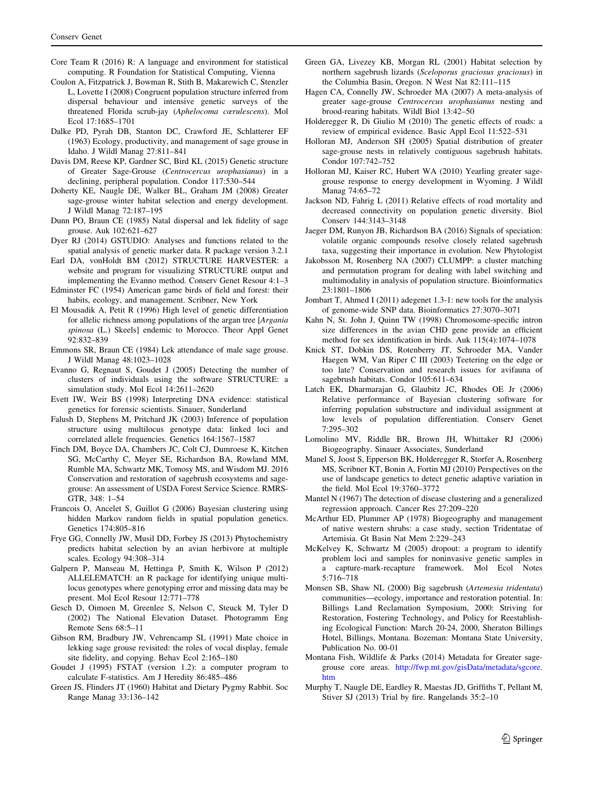- <span id="page-14-0"></span>Core Team R (2016) R: A language and environment for statistical computing. R Foundation for Statistical Computing, Vienna
- Coulon A, Fitzpatrick J, Bowman R, Stith B, Makarewich C, Stenzler L, Lovette I (2008) Congruent population structure inferred from dispersal behaviour and intensive genetic surveys of the threatened Florida scrub-jay (Aphelocoma cœrulescens). Mol Ecol 17:1685–1701
- Dalke PD, Pyrah DB, Stanton DC, Crawford JE, Schlatterer EF (1963) Ecology, productivity, and management of sage grouse in Idaho. J Wildl Manag 27:811–841
- Davis DM, Reese KP, Gardner SC, Bird KL (2015) Genetic structure of Greater Sage-Grouse (Centrocercus urophasianus) in a declining, peripheral population. Condor 117:530–544
- Doherty KE, Naugle DE, Walker BL, Graham JM (2008) Greater sage-grouse winter habitat selection and energy development. J Wildl Manag 72:187–195
- Dunn PO, Braun CE (1985) Natal dispersal and lek fidelity of sage grouse. Auk 102:621–627
- Dyer RJ (2014) GSTUDIO: Analyses and functions related to the spatial analysis of genetic marker data. R package version 3.2.1
- Earl DA, vonHoldt BM (2012) STRUCTURE HARVESTER: a website and program for visualizing STRUCTURE output and implementing the Evanno method. Conserv Genet Resour 4:1–3
- Edminster FC (1954) American game birds of field and forest: their habits, ecology, and management. Scribner, New York
- El Mousadik A, Petit R (1996) High level of genetic differentiation for allelic richness among populations of the argan tree [Argania spinosa (L.) Skeels] endemic to Morocco. Theor Appl Genet 92:832–839
- Emmons SR, Braun CE (1984) Lek attendance of male sage grouse. J Wildl Manag 48:1023–1028
- Evanno G, Regnaut S, Goudet J (2005) Detecting the number of clusters of individuals using the software STRUCTURE: a simulation study. Mol Ecol 14:2611–2620
- Evett IW, Weir BS (1998) Interpreting DNA evidence: statistical genetics for forensic scientists. Sinauer, Sunderland
- Falush D, Stephens M, Pritchard JK (2003) Inference of population structure using multilocus genotype data: linked loci and correlated allele frequencies. Genetics 164:1567–1587
- Finch DM, Boyce DA, Chambers JC, Colt CJ, Dumroese K, Kitchen SG, McCarthy C, Meyer SE, Richardson BA, Rowland MM, Rumble MA, Schwartz MK, Tomosy MS, and Wisdom MJ. 2016 Conservation and restoration of sagebrush ecosystems and sagegrouse: An assessment of USDA Forest Service Science. RMRS-GTR, 348: 1–54
- Francois O, Ancelet S, Guillot G (2006) Bayesian clustering using hidden Markov random fields in spatial population genetics. Genetics 174:805–816
- Frye GG, Connelly JW, Musil DD, Forbey JS (2013) Phytochemistry predicts habitat selection by an avian herbivore at multiple scales. Ecology 94:308–314
- Galpern P, Manseau M, Hettinga P, Smith K, Wilson P (2012) ALLELEMATCH: an R package for identifying unique multilocus genotypes where genotyping error and missing data may be present. Mol Ecol Resour 12:771–778
- Gesch D, Oimoen M, Greenlee S, Nelson C, Steuck M, Tyler D (2002) The National Elevation Dataset. Photogramm Eng Remote Sens 68:5–11
- Gibson RM, Bradbury JW, Vehrencamp SL (1991) Mate choice in lekking sage grouse revisited: the roles of vocal display, female site fidelity, and copying. Behav Ecol 2:165–180
- Goudet J (1995) FSTAT (version 1.2): a computer program to calculate F-statistics. Am J Heredity 86:485–486
- Green JS, Flinders JT (1960) Habitat and Dietary Pygmy Rabbit. Soc Range Manag 33:136–142
- Green GA, Livezey KB, Morgan RL (2001) Habitat selection by northern sagebrush lizards (Sceloporus graciosus graciosus) in the Columbia Basin, Oregon. N West Nat 82:111–115
- Hagen CA, Connelly JW, Schroeder MA (2007) A meta-analysis of greater sage-grouse Centrocercus urophasianus nesting and brood-rearing habitats. Wildl Biol 13:42–50
- Holderegger R, Di Giulio M (2010) The genetic effects of roads: a review of empirical evidence. Basic Appl Ecol 11:522–531
- Holloran MJ, Anderson SH (2005) Spatial distribution of greater sage-grouse nests in relatively contiguous sagebrush habitats. Condor 107:742–752
- Holloran MJ, Kaiser RC, Hubert WA (2010) Yearling greater sagegrouse response to energy development in Wyoming. J Wildl Manag 74:65–72
- Jackson ND, Fahrig L (2011) Relative effects of road mortality and decreased connectivity on population genetic diversity. Biol Conserv 144:3143–3148
- Jaeger DM, Runyon JB, Richardson BA (2016) Signals of speciation: volatile organic compounds resolve closely related sagebrush taxa, suggesting their importance in evolution. New Phytologist
- Jakobsson M, Rosenberg NA (2007) CLUMPP: a cluster matching and permutation program for dealing with label switching and multimodality in analysis of population structure. Bioinformatics 23:1801–1806
- Jombart T, Ahmed I (2011) adegenet 1.3-1: new tools for the analysis of genome-wide SNP data. Bioinformatics 27:3070–3071
- Kahn N, St. John J, Quinn TW (1998) Chromosome-specific intron size differences in the avian CHD gene provide an efficient method for sex identification in birds. Auk 115(4):1074–1078
- Knick ST, Dobkin DS, Rotenberry JT, Schroeder MA, Vander Haegen WM, Van Riper C III (2003) Teetering on the edge or too late? Conservation and research issues for avifauna of sagebrush habitats. Condor 105:611–634
- Latch EK, Dharmarajan G, Glaubitz JC, Rhodes OE Jr (2006) Relative performance of Bayesian clustering software for inferring population substructure and individual assignment at low levels of population differentiation. Conserv Genet 7:295–302
- Lomolino MV, Riddle BR, Brown JH, Whittaker RJ (2006) Biogeography. Sinauer Associates, Sunderland
- Manel S, Joost S, Epperson BK, Holderegger R, Storfer A, Rosenberg MS, Scribner KT, Bonin A, Fortin MJ (2010) Perspectives on the use of landscape genetics to detect genetic adaptive variation in the field. Mol Ecol 19:3760–3772
- Mantel N (1967) The detection of disease clustering and a generalized regression approach. Cancer Res 27:209–220
- McArthur ED, Plummer AP (1978) Biogeography and management of native western shrubs: a case study, section Tridentatae of Artemisia. Gt Basin Nat Mem 2:229–243
- McKelvey K, Schwartz M (2005) dropout: a program to identify problem loci and samples for noninvasive genetic samples in a capture-mark-recapture framework. Mol Ecol Notes 5:716–718
- Monsen SB, Shaw NL (2000) Big sagebrush (Artemesia tridentata) communities—ecology, importance and restoration potential. In: Billings Land Reclamation Symposium, 2000: Striving for Restoration, Fostering Technology, and Policy for Reestablishing Ecological Function: March 20-24, 2000, Sheraton Billings Hotel, Billings, Montana. Bozeman: Montana State University, Publication No. 00-01
- Montana Fish, Wildlife & Parks (2014) Metadata for Greater sagegrouse core areas. [http://fwp.mt.gov/gisData/metadata/sgcore.](http://fwp.mt.gov/gisData/metadata/sgcore.htm) [htm](http://fwp.mt.gov/gisData/metadata/sgcore.htm)
- Murphy T, Naugle DE, Eardley R, Maestas JD, Griffiths T, Pellant M, Stiver SJ (2013) Trial by fire. Rangelands 35:2–10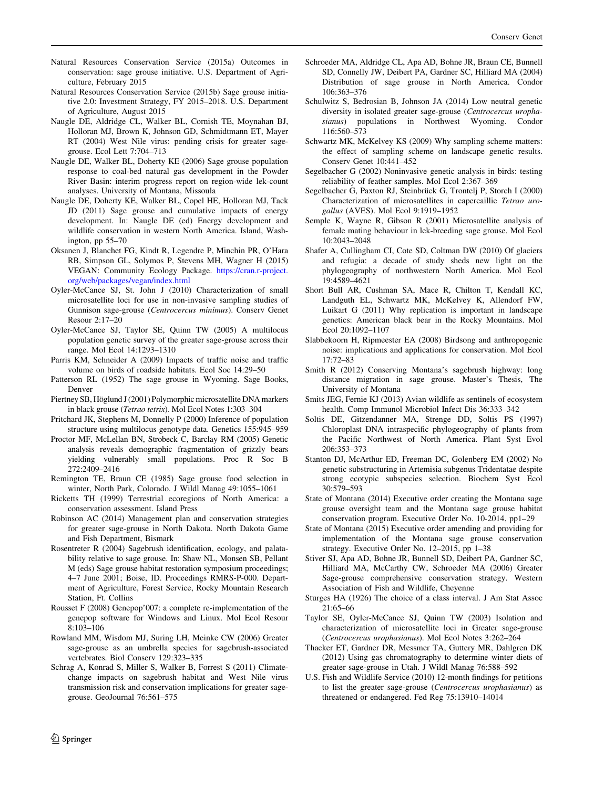- <span id="page-15-0"></span>Natural Resources Conservation Service (2015a) Outcomes in conservation: sage grouse initiative. U.S. Department of Agriculture, February 2015
- Natural Resources Conservation Service (2015b) Sage grouse initiative 2.0: Investment Strategy, FY 2015–2018. U.S. Department of Agriculture, August 2015
- Naugle DE, Aldridge CL, Walker BL, Cornish TE, Moynahan BJ, Holloran MJ, Brown K, Johnson GD, Schmidtmann ET, Mayer RT (2004) West Nile virus: pending crisis for greater sagegrouse. Ecol Lett 7:704–713
- Naugle DE, Walker BL, Doherty KE (2006) Sage grouse population response to coal-bed natural gas development in the Powder River Basin: interim progress report on region-wide lek-count analyses. University of Montana, Missoula
- Naugle DE, Doherty KE, Walker BL, Copel HE, Holloran MJ, Tack JD (2011) Sage grouse and cumulative impacts of energy development. In: Naugle DE (ed) Energy development and wildlife conservation in western North America. Island, Washington, pp 55–70
- Oksanen J, Blanchet FG, Kindt R, Legendre P, Minchin PR, O'Hara RB, Simpson GL, Solymos P, Stevens MH, Wagner H (2015) VEGAN: Community Ecology Package. [https://cran.r-project.](https://cran.r-project.org/web/packages/vegan/index.html) [org/web/packages/vegan/index.html](https://cran.r-project.org/web/packages/vegan/index.html)
- Oyler-McCance SJ, St. John J (2010) Characterization of small microsatellite loci for use in non-invasive sampling studies of Gunnison sage-grouse (Centrocercus minimus). Conserv Genet Resour 2:17–20
- Oyler-McCance SJ, Taylor SE, Quinn TW (2005) A multilocus population genetic survey of the greater sage-grouse across their range. Mol Ecol 14:1293–1310
- Parris KM, Schneider A (2009) Impacts of traffic noise and traffic volume on birds of roadside habitats. Ecol Soc 14:29–50
- Patterson RL (1952) The sage grouse in Wyoming. Sage Books, Denver
- Piertney SB, Höglund J (2001) Polymorphic microsatellite DNA markers in black grouse (Tetrao tetrix). Mol Ecol Notes 1:303–304
- Pritchard JK, Stephens M, Donnelly P (2000) Inference of population structure using multilocus genotype data. Genetics 155:945–959
- Proctor MF, McLellan BN, Strobeck C, Barclay RM (2005) Genetic analysis reveals demographic fragmentation of grizzly bears yielding vulnerably small populations. Proc R Soc B 272:2409–2416
- Remington TE, Braun CE (1985) Sage grouse food selection in winter, North Park, Colorado. J Wildl Manag 49:1055–1061
- Ricketts TH (1999) Terrestrial ecoregions of North America: a conservation assessment. Island Press
- Robinson AC (2014) Management plan and conservation strategies for greater sage-grouse in North Dakota. North Dakota Game and Fish Department, Bismark
- Rosentreter R (2004) Sagebrush identification, ecology, and palatability relative to sage grouse. In: Shaw NL, Monsen SB, Pellant M (eds) Sage grouse habitat restoration symposium proceedings; 4–7 June 2001; Boise, ID. Proceedings RMRS-P-000. Department of Agriculture, Forest Service, Rocky Mountain Research Station, Ft. Collins
- Rousset F (2008) Genepop'007: a complete re-implementation of the genepop software for Windows and Linux. Mol Ecol Resour 8:103–106
- Rowland MM, Wisdom MJ, Suring LH, Meinke CW (2006) Greater sage-grouse as an umbrella species for sagebrush-associated vertebrates. Biol Conserv 129:323–335
- Schrag A, Konrad S, Miller S, Walker B, Forrest S (2011) Climatechange impacts on sagebrush habitat and West Nile virus transmission risk and conservation implications for greater sagegrouse. GeoJournal 76:561–575
- Schroeder MA, Aldridge CL, Apa AD, Bohne JR, Braun CE, Bunnell SD, Connelly JW, Deibert PA, Gardner SC, Hilliard MA (2004) Distribution of sage grouse in North America. Condor 106:363–376
- Schulwitz S, Bedrosian B, Johnson JA (2014) Low neutral genetic diversity in isolated greater sage-grouse (Centrocercus urophasianus) populations in Northwest Wyoming. Condor 116:560–573
- Schwartz MK, McKelvey KS (2009) Why sampling scheme matters: the effect of sampling scheme on landscape genetic results. Conserv Genet 10:441–452
- Segelbacher G (2002) Noninvasive genetic analysis in birds: testing reliability of feather samples. Mol Ecol 2:367–369
- Segelbacher G, Paxton RJ, Steinbrück G, Trontelj P, Storch I (2000) Characterization of microsatellites in capercaillie Tetrao urogallus (AVES). Mol Ecol 9:1919–1952
- Semple K, Wayne R, Gibson R (2001) Microsatellite analysis of female mating behaviour in lek-breeding sage grouse. Mol Ecol 10:2043–2048
- Shafer A, Cullingham CI, Cote SD, Coltman DW (2010) Of glaciers and refugia: a decade of study sheds new light on the phylogeography of northwestern North America. Mol Ecol 19:4589–4621
- Short Bull AR, Cushman SA, Mace R, Chilton T, Kendall KC, Landguth EL, Schwartz MK, McKelvey K, Allendorf FW, Luikart G (2011) Why replication is important in landscape genetics: American black bear in the Rocky Mountains. Mol Ecol 20:1092–1107
- Slabbekoorn H, Ripmeester EA (2008) Birdsong and anthropogenic noise: implications and applications for conservation. Mol Ecol 17:72–83
- Smith R (2012) Conserving Montana's sagebrush highway: long distance migration in sage grouse. Master's Thesis, The University of Montana
- Smits JEG, Fernie KJ (2013) Avian wildlife as sentinels of ecosystem health. Comp Immunol Microbiol Infect Dis 36:333–342
- Soltis DE, Gitzendanner MA, Strenge DD, Soltis PS (1997) Chloroplast DNA intraspecific phylogeography of plants from the Pacific Northwest of North America. Plant Syst Evol 206:353–373
- Stanton DJ, McArthur ED, Freeman DC, Golenberg EM (2002) No genetic substructuring in Artemisia subgenus Tridentatae despite strong ecotypic subspecies selection. Biochem Syst Ecol 30:579–593
- State of Montana (2014) Executive order creating the Montana sage grouse oversight team and the Montana sage grouse habitat conservation program. Executive Order No. 10-2014, pp1–29
- State of Montana (2015) Executive order amending and providing for implementation of the Montana sage grouse conservation strategy. Executive Order No. 12–2015, pp 1–38
- Stiver SJ, Apa AD, Bohne JR, Bunnell SD, Deibert PA, Gardner SC, Hilliard MA, McCarthy CW, Schroeder MA (2006) Greater Sage-grouse comprehensive conservation strategy. Western Association of Fish and Wildlife, Cheyenne
- Sturges HA (1926) The choice of a class interval. J Am Stat Assoc 21:65–66
- Taylor SE, Oyler-McCance SJ, Quinn TW (2003) Isolation and characterization of microsatellite loci in Greater sage-grouse (Centrocercus urophasianus). Mol Ecol Notes 3:262–264
- Thacker ET, Gardner DR, Messmer TA, Guttery MR, Dahlgren DK (2012) Using gas chromatography to determine winter diets of greater sage-grouse in Utah. J Wildl Manag 76:588–592
- U.S. Fish and Wildlife Service (2010) 12-month findings for petitions to list the greater sage-grouse (Centrocercus urophasianus) as threatened or endangered. Fed Reg 75:13910–14014